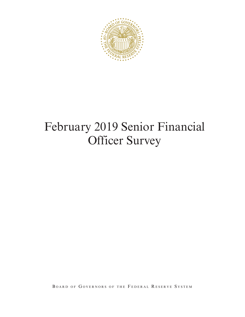

# February 2019 Senior Financial Officer Survey

BOARD OF GOVERNORS OF THE FEDERAL RESERVE SYSTEM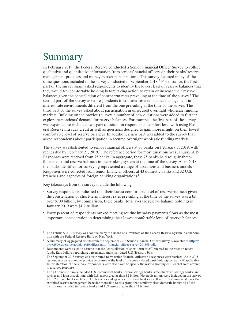## Summary

In February 2019, the Federal Reserve conducted a Senior Financial Officer Survey to collect qualitative and quantitative information from senior financial officers on their banks' reserve management practices and money market participation.<sup>1</sup> This survey featured many of the same questions included in the survey conducted in September 2018.<sup>2</sup> For instance, the first part of the survey again asked respondents to identify the lowest level of reserve balances that they would feel comfortable holding before taking action to retain or increase their reserve balances given the constellation of short-term rates prevailing at the time of the survey.<sup>3</sup> The second part of the survey asked respondents to consider reserve balance management in interest rate environments different from the one prevailing at the time of the survey. The third part of the survey asked about participation in unsecured overnight wholesale funding markets. Building on the previous survey, a number of new questions were added to further explore respondents' demand for reserve balances. For example, the first part of the survey was expanded to include a two-part question on respondents' comfort level with using Federal Reserve intraday credit as well as questions designed to gain more insight on their lowest comfortable level of reserve balances. In addition, a new part was added to the survey that asked respondents about participation in secured overnight wholesale funding markets.

The survey was distributed to senior financial officers at 80 banks on February 7, 2019, with replies due by February 21, 2019.<sup>4</sup> The reference period for most questions was January 2019. Responses were received from 75 banks. In aggregate, these 75 banks held roughly threefourths of total reserve balances in the banking system at the time of the survey. As in 2018, the banks identified for surveying represented a range of asset sizes and business models. Responses were collected from senior financial officers at 43 domestic banks and 32 U.S. branches and agencies of foreign banking organizations.<sup>5</sup>

Key takeaways from the survey include the following:

- Survey respondents indicated that their lowest comfortable level of reserve balances given the constellation of short-term interest rates prevailing at the time of the survey was a bit over \$700 billion; by comparison, these banks' total average reserve balance holdings in January 2019 were \$1.2 trillion.
- Forty percent of respondents ranked meeting routine intraday payments flows as the most important consideration in determining their lowest comfortable level of reserve balances.

<sup>1</sup> The February 2019 survey was conducted by the Board of Governors of the Federal Reserve System in collaboration with the Federal Reserve Bank of New York.

<sup>&</sup>lt;sup>2</sup> A summary of aggregated results from the September 2018 Senior Financial Officer Survey is available at [https://](https://www.federalreserve.gov/data/sfos/files/senior-financial-officer-survey-201809.pdf) [www.federalreserve.gov/data/sfos/files/senior-financial-officer-survey-201809.pdf.](https://www.federalreserve.gov/data/sfos/files/senior-financial-officer-survey-201809.pdf)

<sup>&</sup>lt;sup>3</sup> Respondents were asked to assume that the "constellation of short-term rates" referred to the rates on federal funds, Eurodollars, repurchase agreements, and short-dated U.S. Treasury bills.

<sup>4</sup> The September 2018 survey was distributed to 59 senior financial officers; 51 responses were received. As in 2018, respondents were asked to provide responses at the level of the consolidated bank holding company, if applicable. In this iteration of the survey, respondents were also asked to specify the reserve holding entities that were covered in a survey response.

<sup>5</sup> The 43 domestic banks included U.S. commercial banks, federal savings banks, state-chartered savings banks, and savings and loan associations with U.S. assets greater than \$2 billion. No credit unions were included in the survey. The 32 foreign banks included U.S. branches and agencies of foreign banks as well as 1 U.S. commercial bank that exhibited reserve management behavior more akin to this group than similarly sized domestic banks; all of the institutions included in foreign banks had U.S. assets greater than \$2 billion.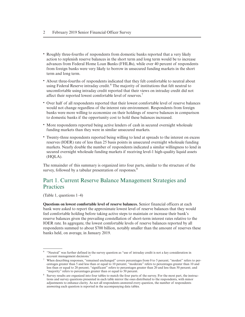- Roughly three-fourths of respondents from domestic banks reported that a very likely action to replenish reserve balances in the short term and long term would be to increase advances from Federal Home Loan Banks (FHLBs), while over 40 percent of respondents from foreign banks were very likely to borrow in unsecured funding markets in the short term and long term.
- About three-fourths of respondents indicated that they felt comfortable to neutral about using Federal Reserve intraday credit.<sup>6</sup> The majority of institutions that felt neutral to uncomfortable using intraday credit reported that their views on intraday credit did not affect their reported lowest comfortable level of reserves.<sup>7</sup>
- Over half of all respondents reported that their lowest comfortable level of reserve balances would not change regardless of the interest rate environment. Respondents from foreign banks were more willing to economize on their holdings of reserve balances in comparison to domestic banks if the opportunity cost to hold these balances increased.
- More respondents reported being active lenders of cash in secured overnight wholesale funding markets than they were in similar unsecured markets.
- Twenty-three respondents reported being willing to lend at spreads to the interest on excess reserves (IOER) rate of less than 25 basis points in unsecured overnight wholesale funding markets. Nearly double the number of respondents indicated a similar willingness to lend in secured overnight wholesale funding markets if receiving level-1 high-quality liquid assets (HQLA).

The remainder of this summary is organized into four parts, similar to the structure of the survey, followed by a tabular presentation of responses.<sup>8</sup>

## Part 1. Current Reserve Balance Management Strategies and **Practices**

(Table 1, questions 1–4)

**Questions on lowest comfortable level of reserve balances.** Senior financial officers at each bank were asked to report the approximate lowest level of reserve balances that they would feel comfortable holding before taking active steps to maintain or increase their bank's reserve balances given the prevailing constellation of short-term interest rates relative to the IOER rate. In aggregate, the lowest comfortable levels of reserve balances reported by all respondents summed to about \$700 billion, notably smaller than the amount of reserves these banks held, on average, in January 2019.

<sup>&</sup>lt;sup>6</sup> "Neutral" was further defined in the survey question as "use of intraday credit is not a key consideration in account management decisions."

 $7$  When describing responses, "remained unchanged" covers percentages from 0 to 5 percent; "modest" refers to percentages greater than 5 and less than or equal to 10 percent; "moderate" refers to percentages greater than 10 and less than or equal to 20 percent; "significant" refers to percentages greater than 20 and less than 50 percent; and "majority" refers to percentages greater than or equal to 50 percent.

<sup>8</sup> Survey results are organized into four tables to match the four parts of the survey. For the most part, the instructions and survey questions presented in each table mirror the ones distributed to the respondents, with minor adjustments to enhance clarity. As not all respondents answered every question, the number of respondents answering each question is reported in the accompanying data tables.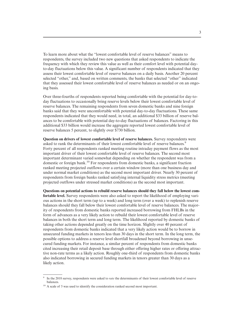To learn more about what the "lowest comfortable level of reserve balances" means to respondents, the survey included two new questions that asked respondents to indicate the frequency with which they review this value as well as their comfort level with potential dayto-day fluctuations below this value. A significant number of respondents indicated that they assess their lowest comfortable level of reserve balances on a daily basis. Another 20 percent selected "other," and, based on written comments, the banks that selected "other" indicated that they assessed their lowest comfortable level of reserve balances as needed or on an ongoing basis.

Over three-fourths of respondents reported being comfortable with the potential for day-today fluctuations to occasionally bring reserve levels below their lowest comfortable level of reserve balances. The remaining respondents from seven domestic banks and nine foreign banks said that they were uncomfortable with potential day-to-day fluctuations. These same respondents indicated that they would need, in total, an additional \$33 billion of reserve balances to be comfortable with potential day-to-day fluctuations of balances. Factoring in this additional \$33 billion would increase the aggregate reported lowest comfortable level of reserve balances 5 percent, to slightly over \$730 billion.

**Question on drivers of lowest comfortable level of reserve balances.** Survey respondents were asked to rank the determinants of their lowest comfortable level of reserve balances.<sup>9</sup> Forty percent of all respondents ranked meeting routine intraday payment flows as the most important driver of their lowest comfortable level of reserve balances. The second most important determinant varied somewhat depending on whether the respondent was from a domestic or foreign bank.10 For respondents from domestic banks, a significant fraction ranked meeting projected outflows over a certain window (more than one business day and under normal market conditions) as the second most important driver. Nearly 30 percent of respondents from foreign banks ranked satisfying internal liquidity stress metrics (meeting projected outflows under stressed market conditions) as the second most important.

**Questions on potential actions to rebuild reserve balances should they fall below the lowest comfortable level.** Survey respondents were also asked to report the likelihood of employing various actions in the short term (up to a week) and long term (over a week) to replenish reserve balances should they fall below their lowest comfortable level of reserve balances. The majority of respondents from domestic banks reported increased borrowing from FHLBs in the form of advances as a very likely action to rebuild their lowest comfortable level of reserve balances in both the short term and long term. The likelihood reported by domestic banks of taking other actions depended greatly on the time horizon. Slightly over 40 percent of respondents from domestic banks indicated that a very likely action would be to borrow in unsecured funding markets in tenors less than 30 days in the short term. In the long term, the possible options to address a reserve level shortfall broadened beyond borrowing in unsecured funding markets. For instance, a similar percent of respondents from domestic banks cited increasing their retail deposit base through either offering higher rates or offering attractive non-rate terms as a likely action. Roughly one-third of respondents from domestic banks also indicated borrowing in secured funding markets in tenors greater than 30 days as a likely action.

<sup>9</sup> In the 2018 survey, respondents were asked to *rate* the determinants of their lowest comfortable level of reserve balances.

<sup>&</sup>lt;sup>10</sup> A scale of 5 was used to identify the consideration ranked second most important.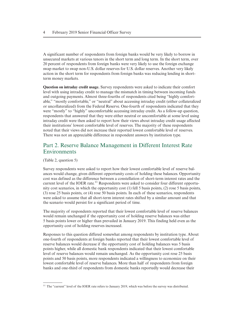A significant number of respondents from foreign banks would be very likely to borrow in unsecured markets at various tenors in the short term and long term. In the short term, over 20 percent of respondents from foreign banks were very likely to use the foreign exchange swap market to swap non-U.S. dollar reserves for U.S. dollar reserves. Another very likely action in the short term for respondents from foreign banks was reducing lending in shortterm money markets.

**Question on intraday credit usage.** Survey respondents were asked to indicate their comfort level with using intraday credit to manage the mismatch in timing between incoming funds and outgoing payments. Almost three-fourths of respondents cited being "highly comfortable," "mostly comfortable," or "neutral" about accessing intraday credit (either collateralized or uncollateralized) from the Federal Reserve. One-fourth of respondents indicated that they were "mostly" to "highly" uncomfortable accessing intraday credit. As a follow-up question, respondents that answered that they were either neutral or uncomfortable at some level using intraday credit were then asked to report how their views about intraday credit usage affected their institutions' lowest comfortable level of reserves. The majority of these respondents noted that their views did not increase their reported lowest comfortable level of reserves. There was not an appreciable difference in respondent answers by institution type.

## Part 2. Reserve Balance Management in Different Interest Rate Environments

(Table 2, question 5)

Survey respondents were asked to report how their lowest comfortable level of reserve balances would change, given different opportunity costs of holding these balances. Opportunity cost was defined as the difference between a constellation of short-term interest rates and the current level of the IOER rate.<sup>11</sup> Respondents were asked to consider four different opportunity cost scenarios, in which the opportunity cost (1) fell 5 basis points, (2) rose 5 basis points, (3) rose 25 basis points, or (4) rose 50 basis points. In each of these scenarios, respondents were asked to assume that all short-term interest rates shifted by a similar amount and that the scenario would persist for a significant period of time.

The majority of respondents reported that their lowest comfortable level of reserve balances would remain unchanged if the opportunity cost of holding reserve balances was either 5 basis points lower or higher than prevailed in January 2019. This finding held even as the opportunity cost of holding reserves increased.

Responses to this question differed somewhat among respondents by institution type. About one-fourth of respondents at foreign banks reported that their lowest comfortable level of reserve balances would decrease if the opportunity cost of holding balances was 5 basis points higher, while all domestic bank respondents indicated that their lowest comfortable level of reserve balances would remain unchanged. As the opportunity cost rose 25 basis points and 50 basis points, more respondents indicated a willingness to economize on their lowest comfortable level of reserve balances. More than half of respondents from foreign banks and one-third of respondents from domestic banks reportedly would decrease their

<sup>&</sup>lt;sup>11</sup> The "current" level of the IOER rate refers to January 2019, which was before the survey was distributed.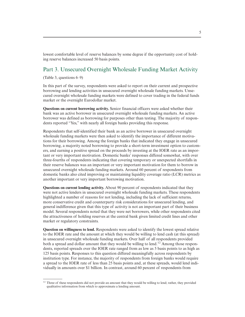lowest comfortable level of reserve balances by some degree if the opportunity cost of holding reserve balances increased 50 basis points.

## Part 3. Unsecured Overnight Wholesale Funding Market Activity

(Table 3, questions 6–9)

In this part of the survey, respondents were asked to report on their current and prospective borrowing and lending activities in unsecured overnight wholesale funding markets. Unsecured overnight wholesale funding markets were defined to cover trading in the federal funds market or the overnight Eurodollar market.

**Questions on current borrowing activity.** Senior financial officers were asked whether their bank was an active borrower in unsecured overnight wholesale funding markets. An active borrower was defined as borrowing for purposes other than testing. The majority of respondents reported "Yes," with nearly all foreign banks providing this response.

Respondents that self-identified their bank as an active borrower in unsecured overnight wholesale funding markets were then asked to identify the importance of different motivations for their borrowing. Among the foreign banks that indicated they engage in unsecured borrowing, a majority noted borrowing to provide a short-term investment option to customers, and earning a positive spread on the proceeds by investing at the IOER rate as an important or very important motivation. Domestic banks' responses differed somewhat, with over three-fourths of respondents indicating that covering temporary or unexpected shortfalls in their reserve balances was an important or very important motivation for them to borrow in unsecured overnight wholesale funding markets. Around 60 percent of respondents from domestic banks also cited improving or maintaining liquidity coverage ratio (LCR) metrics as another important or very important borrowing motivation.

**Questions on current lending activity.** About 90 percent of respondents indicated that they were not active lenders in unsecured overnight wholesale funding markets. These respondents highlighted a number of reasons for not lending, including the lack of sufficient returns, more conservative credit and counterparty risk considerations for unsecured lending, and general indifference given that this type of activity is not an important part of their business model. Several respondents noted that they were net borrowers, while other respondents cited the attractiveness of holding reserves at the central bank given limited credit lines and other market or regulatory constraints.

**Question on willingness to lend.** Respondents were asked to identify the lowest spread relative to the IOER rate and the amount at which they would be willing to lend cash (at this spread) in unsecured overnight wholesale funding markets. Over half of all respondents provided both a spread and dollar amount that they would be willing to lend.<sup>12</sup> Among those respondents, reported spreads over the IOER rate ranged from as low as 5 basis points to as high as 125 basis points. Responses to this question differed meaningfully across respondents by institution type. For instance, the majority of respondents from foreign banks would require a spread to the IOER rate of less than 25 basis points and, at these spreads, would lend individually in amounts over \$1 billion. In contrast, around 60 percent of respondents from

<sup>&</sup>lt;sup>12</sup> Three of these respondents did not provide an amount that they would be willing to lend; rather, they provided qualitative information from which to approximate a lending amount.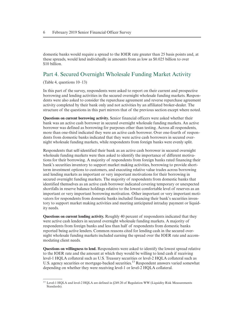domestic banks would require a spread to the IOER rate greater than 25 basis points and, at these spreads, would lend individually in amounts from as low as \$0.025 billion to over \$10 billion.

## Part 4. Secured Overnight Wholesale Funding Market Activity

(Table 4, questions 10–13)

In this part of the survey, respondents were asked to report on their current and prospective borrowing and lending activities in the secured overnight wholesale funding markets. Respondents were also asked to consider the repurchase agreement and reverse repurchase agreement activity completed by their bank only and not activities by an affiliated broker-dealer. The structure of the questions in this part mirrors that of the previous section except where noted.

**Questions on current borrowing activity.** Senior financial officers were asked whether their bank was an active cash borrower in secured overnight wholesale funding markets. An active borrower was defined as borrowing for purposes other than testing. Across all respondents, more than one-third indicated they were an active cash borrower. Over one-fourth of respondents from domestic banks indicated that they were active cash borrowers in secured overnight wholesale funding markets, while respondents from foreign banks were evenly split.

Respondents that self-identified their bank as an active cash borrower in secured overnight wholesale funding markets were then asked to identify the importance of different motivations for their borrowing. A majority of respondents from foreign banks rated financing their bank's securities inventory to support market making activities, borrowing to provide shortterm investment options to customers, and executing relative value trades across borrowing and lending markets as important or very important motivations for their borrowing in secured overnight funding markets. The majority of respondents from domestic banks that identified themselves as an active cash borrower indicated covering temporary or unexpected shortfalls in reserve balance holdings relative to the lowest comfortable level of reserves as an important or very important borrowing motivation. Other important or very important motivators for respondents from domestic banks included financing their bank's securities inventory to support market making activities and meeting anticipated intraday payment or liquidity needs.

**Questions on current lending activity.** Roughly 40 percent of respondents indicated that they were active cash lenders in secured overnight wholesale funding markets. A majority of respondents from foreign banks and less than half of respondents from domestic banks reported being active lenders. Common reasons cited for lending cash in the secured overnight wholesale funding markets included earning the spread over the IOER rate and accommodating client needs.

**Questions on willingness to lend.** Respondents were asked to identify the lowest spread relative to the IOER rate and the amount at which they would be willing to lend cash if receiving level-1 HQLA collateral such as U.S. Treasury securities or level-2 HQLA collateral such as U.S. agency securities or mortgage-backed securities.13 Respondent answers varied somewhat depending on whether they were receiving level-1 or level-2 HQLA collateral.

<sup>&</sup>lt;sup>13</sup> Level-1 HQLA and level-2 HQLA are defined in §249.20 of Regulation WW (Liquidity Risk Measurements Standards).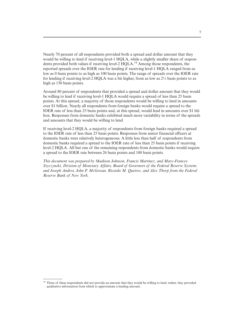Nearly 70 percent of all respondents provided both a spread and dollar amount that they would be willing to lend if receiving level-1 HQLA, while a slightly smaller share of respondents provided both values if receiving level-2 HQLA.<sup>14</sup> Among those respondents, the reported spreads over the IOER rate for lending if receiving level-1 HQLA ranged from as low as 0 basis points to as high as 100 basis points. The range of spreads over the IOER rate for lending if receiving level-2 HOLA was a bit higher, from as low as  $2\frac{1}{2}$  basis points to as high as 150 basis points.

Around 80 percent of respondents that provided a spread and dollar amount that they would be willing to lend if receiving level-1 HQLA would require a spread of less than 25 basis points. At this spread, a majority of those respondents would be willing to lend in amounts over \$1 billion. Nearly all respondents from foreign banks would require a spread to the IOER rate of less than 25 basis points and, at this spread, would lend in amounts over \$1 billion. Responses from domestic banks exhibited much more variability in terms of the spreads and amounts that they would be willing to lend.

If receiving level-2 HQLA, a majority of respondents from foreign banks required a spread to the IOER rate of less than 25 basis points. Responses from senior financial officers at domestic banks were relatively heterogeneous. A little less than half of respondents from domestic banks required a spread to the IOER rate of less than 25 basis points if receiving level-2 HQLA. All but one of the remaining respondents from domestic banks would require a spread to the IOER rate between 26 basis points and 100 basis points.

*This document was prepared by Madison Johnson, Francis Martinez, and Mary-Frances Styczynski, Division of Monetary Affairs, Board of Governors of the Federal Reserve System; and Joseph Andros, John P. McGowan, Ricardo M. Queiroz, and Alex Thorp from the Federal Reserve Bank of New York.*

<sup>&</sup>lt;sup>14</sup> Three of these respondents did not provide an amount that they would be willing to lend; rather, they provided qualitative information from which to approximate a lending amount.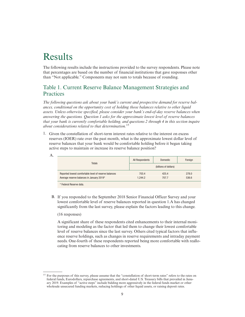## Results

The following results include the instructions provided to the survey respondents. Please note that percentages are based on the number of financial institutions that gave responses other than "Not applicable." Components may not sum to totals because of rounding.

## Table 1. Current Reserve Balance Management Strategies and **Practices**

*The following questions ask about your bank's current and prospective demand for reserve balances, conditional on the opportunity cost of holding those balances relative to other liquid assets. Unless otherwise specified, please consider your bank's end-of-day reserve balances when answering the questions. Question 1 asks for the approximate lowest level of reserve balances that your bank is currently comfortable holding, and questions 2 through 4 in this section inquire about considerations related to that determination.*<sup>15</sup>

1. Given the constellation of short-term interest rates relative to the interest on excess reserves (IOER) rate over the past month, what is the approximate lowest dollar level of reserve balances that your bank would be comfortable holding before it began taking active steps to maintain or increase its reserve balance position?

| A. |                                                       |                       |                 |         |  |
|----|-------------------------------------------------------|-----------------------|-----------------|---------|--|
|    | <b>Totals</b>                                         | All Respondents       | <b>Domestic</b> | Foreign |  |
|    |                                                       | (billions of dollars) |                 |         |  |
|    | Reported lowest comfortable level of reserve balances | 703.4                 | 425.4           | 278.0   |  |
|    | Average reserve balances in January 2019*             | 1.244.2               | 707.7           | 536.6   |  |
|    |                                                       |                       |                 |         |  |

\* Federal Reserve data.

B. If you responded to the September 2018 Senior Financial Officer Survey and your lowest comfortable level of reserve balances reported in question 1.A has changed significantly from the last survey, please explain the factors leading to this change.

#### (16 responses)

A significant share of these respondents cited enhancements to their internal monitoring and modeling as the factor that led them to change their lowest comfortable level of reserve balances since the last survey. Others cited typical factors that influence reserve holdings, such as changes in reserve requirements and intraday payment needs. One-fourth of these respondents reported being more comfortable with reallocating from reserve balances to other investments.

<sup>&</sup>lt;sup>15</sup> For the purposes of this survey, please assume that the "constellation of short-term rates" refers to the rates on federal funds, Eurodollars, repurchase agreements, and short-dated U.S. Treasury bills that prevailed in January 2019. Examples of "active steps" include bidding more aggressively in the federal funds market or other wholesale unsecured funding markets, reducing holdings of other liquid assets, or raising deposit rates.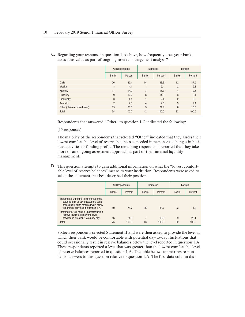|                              |                | All Respondents |                | <b>Domestic</b> |                | Foreign |  |
|------------------------------|----------------|-----------------|----------------|-----------------|----------------|---------|--|
|                              | <b>Banks</b>   | Percent         | <b>Banks</b>   | Percent         | <b>Banks</b>   | Percent |  |
| Daily                        | 26             | 35.1            | 14             | 33.3            | 12             | 37.5    |  |
| Weekly                       | 3              | 4.1             |                | 2.4             | $\overline{2}$ | 6.3     |  |
| Monthly                      | 11             | 14.9            | $\overline{7}$ | 16.7            | $\overline{4}$ | 12.5    |  |
| Quarterly                    | 9              | 12.2            | 6              | 14.3            | 3              | 9.4     |  |
| Biannually                   | 3              | 4.1             |                | 2.4             | $\overline{2}$ | 6.3     |  |
| Annually                     | $\overline{7}$ | 9.5             | $\overline{4}$ | 9.5             | 3              | 9.4     |  |
| Other (please explain below) | 15             | 20.3            | 9              | 21.4            | 6              | 18.8    |  |
| Total                        | 74             | 100.0           | 42             | 100.0           | 32             | 100.0   |  |

C. Regarding your response in question 1.A above, how frequently does your bank assess this value as part of ongoing reserve management analysis?

Respondents that answered "Other" to question 1.C indicated the following:

(15 responses)

The majority of the respondents that selected "Other" indicated that they assess their lowest comfortable level of reserve balances as needed in response to changes in business activities or funding profile. The remaining respondents reported that they take more of an ongoing assessment approach as part of their internal liquidity management.

D. This question attempts to gain additional information on what the "lowest comfortable level of reserve balances" means to your institution. Respondents were asked to select the statement that best described their position.

|                                                                                                                                                                         | All Respondents |         | <b>Domestic</b> |         | Foreign      |         |
|-------------------------------------------------------------------------------------------------------------------------------------------------------------------------|-----------------|---------|-----------------|---------|--------------|---------|
|                                                                                                                                                                         | <b>Banks</b>    | Percent | <b>Banks</b>    | Percent | <b>Banks</b> | Percent |
| Statement I. Our bank is comfortable that<br>potential day-to-day fluctuations could<br>occasionally bring reserve levels below<br>the amount provided in question 1.A. | 59              | 78.7    | 36              | 83.7    | 23           | 71.9    |
| Statement II. Our bank is uncomfortable if<br>reserve levels fall below the level<br>provided in question 1.A on any day.                                               | 16              | 21.3    |                 | 16.3    | 9            | 28.1    |
| Total                                                                                                                                                                   | 75              | 100.0   | 43              | 100.0   | 32           | 100.0   |

Sixteen respondents selected Statement II and were then asked to provide the level at which their bank would be comfortable with potential day-to-day fluctuations that could occasionally result in reserve balances below the level reported in question 1.A. These respondents reported a level that was greater than the lowest comfortable level of reserve balances reported in question 1.A. The table below summarizes respondents' answers to this question relative to question 1.A. The first data column dis-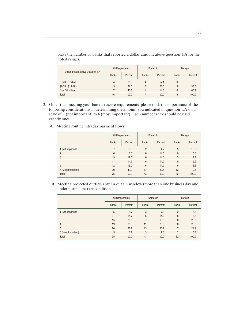| Dollar amount above Question 1.A | All Respondents |         |              | <b>Domestic</b> | Foreign      |         |
|----------------------------------|-----------------|---------|--------------|-----------------|--------------|---------|
|                                  | <b>Banks</b>    | Percent | <b>Banks</b> | Percent         | <b>Banks</b> | Percent |
| 0 to \$0.5 billion               | 4               | 25.0    | 4            | 57.1            | $\Omega$     | 0.0     |
| \$0.5 to \$1 billion             | 5               | 31.3    | 2            | 28.6            | 3            | 33.3    |
| Over \$1 billion                 |                 | 43.8    |              | 14.3            | 6            | 66.7    |
| Total                            | 16              | 100.0   |              | 100.0           | 9            | 100.0   |

plays the number of banks that reported a dollar amount above question 1.A for the noted ranges.

- 2. Other than meeting your bank's reserve requirements, please rank the importance of the following considerations in determining the amount you indicated in question 1.A on a scale of 1 (not important) to 6 (most important). Each number rank should be used exactly once.
	- All Respondents | Domestic | Foreign Banks Percent Banks Percent Banks Percent 1 (Not important) 7 9.3 2 4.7 5 15.6  $2$  8.0 6 14.0 0 0.0  $3$  3 9  $3$  9  $12.0$  6  $14.0$  3  $9.4$  4 11 14.7 6 14.0 5 15.6 5 12 16.0 6 14.0 6 18.8 6 (Most important) 30 40.0 17 39.5 13 40.6 Total 75 100.0 43 100.0 32 100.0
	- A. Meeting routine intraday payment flows:

B. Meeting projected outflows over a certain window (more than one business day and under normal market conditions):

|                    |              | All Respondents | Domestic       |         | Foreign        |         |
|--------------------|--------------|-----------------|----------------|---------|----------------|---------|
|                    | <b>Banks</b> | Percent         | <b>Banks</b>   | Percent | <b>Banks</b>   | Percent |
| 1 (Not important)  | 5            | 6.7             | 3              | 7.0     | $\overline{2}$ | 6.3     |
| $\overline{2}$     | 11           | 14.7            | 6              | 14.0    | 5              | 15.6    |
| 3                  | 15           | 20.0            | $\overline{7}$ | 16.3    | 8              | 25.0    |
| $\overline{4}$     | 19           | 25.3            | 11             | 25.6    | 8              | 25.0    |
| 5                  | 20           | 26.7            | 13             | 30.2    | 7              | 21.9    |
| 6 (Most important) | 5            | 6.7             | 3              | 7.0     | $\overline{2}$ | 6.3     |
| <b>Total</b>       | 75           | 100.0           | 43             | 100.0   | 32             | 100.0   |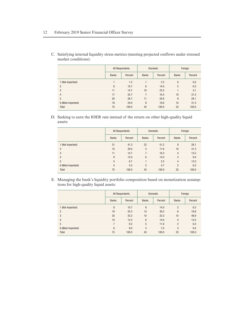|                    | All Respondents |         | Domestic        |         | Foreign        |         |
|--------------------|-----------------|---------|-----------------|---------|----------------|---------|
|                    | <b>Banks</b>    | Percent | <b>Banks</b>    | Percent | <b>Banks</b>   | Percent |
| 1 (Not important)  |                 | 1.3     |                 | 2.3     | $\theta$       | 0.0     |
| $\overline{2}$     | 8               | 10.7    | $6\phantom{1}6$ | 14.0    | $\overline{2}$ | 6.3     |
| 3                  | 11              | 14.7    | 10              | 23.3    |                | 3.1     |
| $\overline{4}$     | 17              | 22.7    | 7               | 16.3    | 10             | 31.3    |
| 5                  | 20              | 26.7    | 11              | 25.6    | 9              | 28.1    |
| 6 (Most important) | 18              | 24.0    | 8               | 18.6    | 10             | 31.3    |
| Total              | 75              | 100.0   | 43              | 100.0   | 32             | 100.0   |

C. Satisfying internal liquidity stress metrics (meeting projected outflows under stressed market conditions):

D. Seeking to earn the IOER rate instead of the return on other high-quality liquid assets:

|                    |                | All Respondents |                | Domestic | Foreign        |         |
|--------------------|----------------|-----------------|----------------|----------|----------------|---------|
|                    | <b>Banks</b>   | Percent         | <b>Banks</b>   | Percent  | <b>Banks</b>   | Percent |
| 1 (Not important)  | 31             | 41.3            | 22             | 51.2     | 9              | 28.1    |
| $\overline{2}$     | 15             | 20.0            | 5              | 11.6     | 10             | 31.3    |
| 3                  | 11             | 14.7            | 7              | 16.3     | $\overline{4}$ | 12.5    |
| $\overline{4}$     | 9              | 12.0            | 6              | 14.0     | 3              | 9.4     |
| 5                  | 5              | 6.7             |                | 2.3      | $\overline{4}$ | 12.5    |
| 6 (Most important) | $\overline{4}$ | 5.3             | $\overline{2}$ | 4.7      | $\overline{2}$ | 6.3     |
| <b>Total</b>       | 75             | 100.0           | 43             | 100.0    | 32             | 100.0   |

E. Managing the bank's liquidity portfolio composition based on monetization assumptions for high-quality liquid assets:

|                    |              | All Respondents |              | Domestic | Foreign         |         |
|--------------------|--------------|-----------------|--------------|----------|-----------------|---------|
|                    | <b>Banks</b> | Percent         | <b>Banks</b> | Percent  | <b>Banks</b>    | Percent |
| 1 (Not important)  | 8            | 10.7            | 6            | 14.0     | $\overline{2}$  | 6.3     |
| $\overline{2}$     | 19           | 25.3            | 13           | 30.2     | $6\phantom{1}6$ | 18.8    |
| 3                  | 25           | 33.3            | 10           | 23.3     | 15              | 46.9    |
| $\overline{4}$     | 10           | 13.3            | 6            | 14.0     | $\overline{4}$  | 12.5    |
| 5                  | 7            | 9.3             | 5            | 11.6     | $\overline{2}$  | 6.3     |
| 6 (Most important) | 6            | 8.0             | 3            | 7.0      | 3               | 9.4     |
| Total              | 75           | 100.0           | 43           | 100.0    | 32              | 100.0   |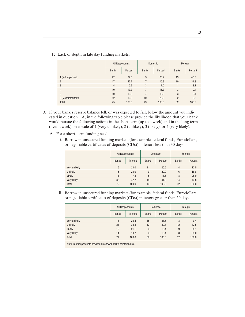|                    |                | All Respondents |              | Domestic |                | Foreign |  |
|--------------------|----------------|-----------------|--------------|----------|----------------|---------|--|
|                    | <b>Banks</b>   | Percent         | <b>Banks</b> | Percent  | <b>Banks</b>   | Percent |  |
| 1 (Not important)  | 22             | 29.3            | 9            | 20.9     | 13             | 40.6    |  |
| $\overline{2}$     | 17             | 22.7            | 7            | 16.3     | 10             | 31.3    |  |
| 3                  | $\overline{4}$ | 5.3             | 3            | 7.0      |                | 3.1     |  |
| $\overline{4}$     | 10             | 13.3            | 7            | 16.3     | 3              | 9.4     |  |
| 5                  | 10             | 13.3            | 7            | 16.3     | 3              | 9.4     |  |
| 6 (Most important) | 12             | 16.0            | 10           | 23.3     | $\mathfrak{p}$ | 6.3     |  |
| <b>Total</b>       | 75             | 100.0           | 43           | 100.0    | 32             | 100.0   |  |

F. Lack of depth in late day funding markets:

- 3. If your bank's reserve balance fell, or was expected to fall, below the amount you indicated in question 1.A, in the following table please provide the likelihood that your bank would pursue the following actions in the short term (up to a week) and in the long term (over a week) on a scale of 1 (very unlikely), 2 (unlikely), 3 (likely), or 4 (very likely).
	- A. For a short-term funding need:
		- i. Borrow in unsecured funding markets (for example, federal funds, Eurodollars, or negotiable certificates of deposits (CDs)) in tenors less than 30 days

|               | All Respondents |         |              | <b>Domestic</b> | Foreign      |         |
|---------------|-----------------|---------|--------------|-----------------|--------------|---------|
|               | <b>Banks</b>    | Percent | <b>Banks</b> | Percent         | <b>Banks</b> | Percent |
| Very unlikely | 15              | 20.0    | 11           | 25.6            | 4            | 12.5    |
| Unlikely      | 15              | 20.0    | 9            | 20.9            | 6            | 18.8    |
| Likely        | 13              | 17.3    | 5            | 11.6            | 8            | 25.0    |
| Very likely   | 32              | 42.7    | 18           | 41.9            | 14           | 43.8    |
| Total         | 75              | 100.0   | 43           | 100.0           | 32           | 100.0   |

ii. Borrow in unsecured funding markets (for example, federal funds, Eurodollars, or negotiable certificates of deposits (CDs)) in tenors greater than 30 days

|               | All Respondents |         |                | <b>Domestic</b> | Foreign      |         |
|---------------|-----------------|---------|----------------|-----------------|--------------|---------|
|               | <b>Banks</b>    | Percent | <b>Banks</b>   | Percent         | <b>Banks</b> | Percent |
| Very unlikely | 18              | 25.4    | 15             | 38.5            | 3            | 9.4     |
| Unlikely      | 24              | 33.8    | 12             | 30.8            | 12           | 37.5    |
| Likely        | 15              | 21.1    | $6\phantom{1}$ | 15.4            | 9            | 28.1    |
| Very likely   | 14              | 19.7    | $6\phantom{1}$ | 15.4            | 8            | 25.0    |
| Total         | 71              | 100.0   | 39             | 100.0           | 32           | 100.0   |

Note: Four respondents provided an answer of N/A or left it blank.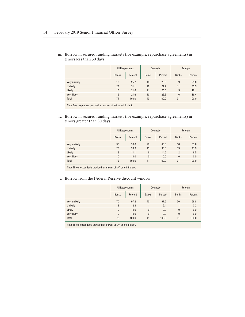|               |              | All Respondents |              | Domestic |              | Foreign |  |
|---------------|--------------|-----------------|--------------|----------|--------------|---------|--|
|               | <b>Banks</b> | Percent         | <b>Banks</b> | Percent  | <b>Banks</b> | Percent |  |
| Very unlikely | 19           | 25.7            | 10           | 23.3     | 9            | 29.0    |  |
| Unlikely      | 23           | 31.1            | 12           | 27.9     | 11           | 35.5    |  |
| Likely        | 16           | 21.6            | 11           | 25.6     | 5            | 16.1    |  |
| Very likely   | 16           | 21.6            | 10           | 23.3     | 6            | 19.4    |  |
| Total         | 74           | 100.0           | 43           | 100.0    | 31           | 100.0   |  |

iii. Borrow in secured funding markets (for example, repurchase agreements) in tenors less than 30 days

Note: One respondent provided an answer of N/A or left it blank.

iv. Borrow in secured funding markets (for example, repurchase agreements) in tenors greater than 30 days

|               | All Respondents |         |              | <b>Domestic</b> | Foreign        |         |
|---------------|-----------------|---------|--------------|-----------------|----------------|---------|
|               | <b>Banks</b>    | Percent | <b>Banks</b> | Percent         | <b>Banks</b>   | Percent |
| Very unlikely | 36              | 50.0    | 20           | 48.8            | 16             | 51.6    |
| Unlikely      | 28              | 38.9    | 15           | 36.6            | 13             | 41.9    |
| Likely        | 8               | 11.1    | 6            | 14.6            | $\overline{2}$ | 6.5     |
| Very likely   | $\mathbf{0}$    | 0.0     | $\mathbf{0}$ | 0.0             | $\mathbf{0}$   | 0.0     |
| Total         | 72              | 100.0   | 41           | 100.0           | 31             | 100.0   |

Note: Three respondents provided an answer of N/A or left it blank.

#### v. Borrow from the Federal Reserve discount window

|               | All Respondents |         |              | <b>Domestic</b> | Foreign      |         |
|---------------|-----------------|---------|--------------|-----------------|--------------|---------|
|               | <b>Banks</b>    | Percent | <b>Banks</b> | Percent         | <b>Banks</b> | Percent |
| Very unlikely | 70              | 97.2    | 40           | 97.6            | 30           | 96.8    |
| Unlikely      | $\overline{2}$  | 2.8     |              | 2.4             |              | 3.2     |
| Likely        | $\mathbf{0}$    | 0.0     | $\mathbf{0}$ | 0.0             | $\theta$     | 0.0     |
| Very likely   | $\Omega$        | 0.0     | $\mathbf{0}$ | 0.0             | $\theta$     | 0.0     |
| Total         | 72              | 100.0   | 41           | 100.0           | 31           | 100.0   |
|               |                 |         |              |                 |              |         |

Note: Three respondents provided an answer of N/A or left it blank.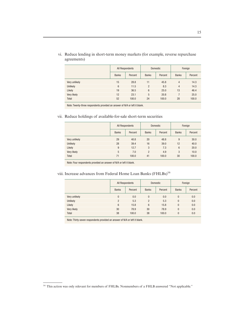|               | All Respondents |         | <b>Domestic</b> |         | Foreign        |         |
|---------------|-----------------|---------|-----------------|---------|----------------|---------|
|               | <b>Banks</b>    | Percent | <b>Banks</b>    | Percent | <b>Banks</b>   | Percent |
| Very unlikely | 15              | 28.8    | 11              | 45.8    | 4              | 14.3    |
| Unlikely      | 6               | 11.5    | $\overline{2}$  | 8.3     | $\overline{4}$ | 14.3    |
| Likely        | 19              | 36.5    | 6               | 25.0    | 13             | 46.4    |
| Very likely   | 12              | 23.1    | 5               | 20.8    |                | 25.0    |
| Total         | 52              | 100.0   | 24              | 100.0   | 28             | 100.0   |

vi. Reduce lending in short-term money markets (for example, reverse repurchase agreements)

Note: Twenty-three respondents provided an answer of N/A or left it blank.

#### vii. Reduce holdings of available-for-sale short-term securities

|               |              | All Respondents | <b>Domestic</b> |         | Foreign         |         |
|---------------|--------------|-----------------|-----------------|---------|-----------------|---------|
|               | <b>Banks</b> | Percent         | <b>Banks</b>    | Percent | <b>Banks</b>    | Percent |
| Very unlikely | 29           | 40.8            | 20              | 48.8    | 9               | 30.0    |
| Unlikely      | 28           | 39.4            | 16              | 39.0    | 12              | 40.0    |
| Likely        | 9            | 12.7            | 3               | 7.3     | $6\overline{6}$ | 20.0    |
| Very likely   | 5            | 7.0             | $\overline{2}$  | 4.9     | 3               | 10.0    |
| Total         | 71           | 100.0           | 41              | 100.0   | 30              | 100.0   |

Note: Four respondents provided an answer of N/A or left it blank.

## viii. Increase advances from Federal Home Loan Banks (FHLBs)<sup>16</sup>

|               | All Respondents |         |                | <b>Domestic</b> | Foreign        |         |
|---------------|-----------------|---------|----------------|-----------------|----------------|---------|
|               | <b>Banks</b>    | Percent | <b>Banks</b>   | Percent         | <b>Banks</b>   | Percent |
| Very unlikely | $\mathbf{0}$    | 0.0     | $\mathbf{0}$   | 0.0             | $\mathbf{0}$   | 0.0     |
| Unlikely      | $\overline{2}$  | 5.3     | $\overline{2}$ | 5.3             | $\mathbf{0}$   | 0.0     |
| Likely        | 6               | 15.8    | 6              | 15.8            | $\mathbf{0}$   | 0.0     |
| Very likely   | 30              | 78.9    | 30             | 78.9            | $\mathbf{0}$   | 0.0     |
| <b>Total</b>  | 38              | 100.0   | 38             | 100.0           | $\overline{0}$ | 0.0     |

Note: Thirty-seven respondents provided an answer of N/A or left it blank.

<sup>&</sup>lt;sup>16</sup> This action was only relevant for members of FHLBs. Nonmembers of a FHLB answered "Not applicable."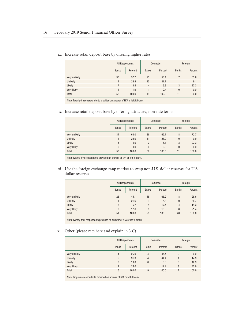|               | All Respondents |         | <b>Domestic</b> |         | Foreign        |         |
|---------------|-----------------|---------|-----------------|---------|----------------|---------|
|               | <b>Banks</b>    | Percent | <b>Banks</b>    | Percent | <b>Banks</b>   | Percent |
| Very unlikely | 30              | 57.7    | 23              | 56.1    |                | 63.6    |
| Unlikely      | 14              | 26.9    | 13              | 31.7    |                | 9.1     |
| Likely        | 7               | 13.5    | $\overline{4}$  | 9.8     | 3              | 27.3    |
| Very likely   |                 | 1.9     |                 | 2.4     | $\overline{0}$ | 0.0     |
| Total         | 52              | 100.0   | 41              | 100.0   | 11             | 100.0   |

ix. Increase retail deposit base by offering higher rates

Note: Twenty-three respondents provided an answer of N/A or left it blank.

x. Increase retail deposit base by offering attractive, non-rate terms

|               | All Respondents |         |                | <b>Domestic</b> | Foreign      |         |
|---------------|-----------------|---------|----------------|-----------------|--------------|---------|
|               | <b>Banks</b>    | Percent | <b>Banks</b>   | Percent         | <b>Banks</b> | Percent |
| Very unlikely | 34              | 68.0    | 26             | 66.7            | 8            | 72.7    |
| Unlikely      | 11              | 22.0    | 11             | 28.2            | $\mathbf{0}$ | 0.0     |
| Likely        | 5               | 10.0    | $\overline{2}$ | 5.1             | 3            | 27.3    |
| Very likely   | $\overline{0}$  | 0.0     | $\mathbf{0}$   | 0.0             | $\Omega$     | 0.0     |
| Total         | 50              | 100.0   | 39             | 100.0           | 11           | 100.0   |

Note: Twenty-five respondents provided an answer of N/A or left it blank.

xi. Use the foreign exchange swap market to swap non-U.S. dollar reserves for U.S. dollar reserves

|                 |              | All Respondents | <b>Domestic</b> |         | Foreign        |         |
|-----------------|--------------|-----------------|-----------------|---------|----------------|---------|
|                 | <b>Banks</b> | Percent         | <b>Banks</b>    | Percent | <b>Banks</b>   | Percent |
| Very unlikely   | 23           | 45.1            | 15              | 65.2    | 8              | 28.6    |
| <b>Unlikely</b> | 11           | 21.6            |                 | 4.3     | 10             | 35.7    |
| Likely          | 8            | 15.7            | $\overline{4}$  | 17.4    | $\overline{4}$ | 14.3    |
| Very likely     | 9            | 17.6            | 3               | 13.0    | 6              | 21.4    |
| Total           | 51           | 100.0           | 23              | 100.0   | 28             | 100.0   |

Note: Twenty-four respondents provided an answer of N/A or left it blank.

#### xii. Other (please rate here and explain in 3.C)

|                 | All Respondents |         |                | Domestic | Foreign      |         |
|-----------------|-----------------|---------|----------------|----------|--------------|---------|
|                 | <b>Banks</b>    | Percent | <b>Banks</b>   | Percent  | <b>Banks</b> | Percent |
| Very unlikely   | $\overline{4}$  | 25.0    | $\overline{4}$ | 44.4     | $\mathbf{0}$ | 0.0     |
| <b>Unlikely</b> | 5               | 31.3    | $\overline{4}$ | 44.4     |              | 14.3    |
| Likely          | 3               | 18.8    | $\Omega$       | 0.0      | 3            | 42.9    |
| Very likely     | $\overline{4}$  | 25.0    |                | 11.1     | 3            | 42.9    |
| Total           | 16              | 100.0   | 9              | 100.0    |              | 100.0   |

Note: Fifty-nine respondents provided an answer of N/A or left it blank.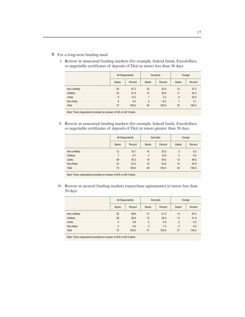- B. For a long-term funding need:
	- i. Borrow in unsecured funding markets (for example, federal funds, Eurodollars, or negotiable certificates of deposits (CDs)) in tenors less than 30 days

|               | All Respondents |         | <b>Domestic</b> |         | Foreign      |         |
|---------------|-----------------|---------|-----------------|---------|--------------|---------|
|               | <b>Banks</b>    | Percent | <b>Banks</b>    | Percent | <b>Banks</b> | Percent |
| Very unlikely | 34              | 47.2    | 22              | 55.0    | 12           | 37.5    |
| Unlikely      | 23              | 31.9    | 12              | 30.0    | 11           | 34.4    |
| Likely        | 9               | 12.5    |                 | 2.5     | 8            | 25.0    |
| Very likely   | 6               | 8.3     | 5               | 12.5    |              | 3.1     |
| Total         | 72              | 100.0   | 40              | 100.0   | 32           | 100.0   |
|               |                 |         |                 |         |              |         |

Note: Three respondents provided an answer of N/A or left it blank.

ii. Borrow in unsecured funding markets (for example, federal funds, Eurodollars, or negotiable certificates of deposits (CDs)) in tenors greater than 30 days

|               | All Respondents |         | <b>Domestic</b> |         | Foreign        |         |
|---------------|-----------------|---------|-----------------|---------|----------------|---------|
|               | <b>Banks</b>    | Percent | <b>Banks</b>    | Percent | <b>Banks</b>   | Percent |
| Very unlikely | 12              | 16.7    | 10              | 25.0    | $\overline{2}$ | 6.3     |
| Unlikely      | 7               | 9.7     | $\overline{4}$  | 10.0    | 3              | 9.4     |
| Likely        | 29              | 40.3    | 16              | 40.0    | 13             | 40.6    |
| Very likely   | 24              | 33.3    | 10              | 25.0    | 14             | 43.8    |
| Total         | 72              | 100.0   | 40              | 100.0   | 32             | 100.0   |

Note: Three respondents provided an answer of N/A or left it blank.

iii. Borrow in secured funding markets (repurchase agreements) in tenors less than 30 days

|                 |                | All Respondents |                | <b>Domestic</b> | Foreign        |         |  |  |  |
|-----------------|----------------|-----------------|----------------|-----------------|----------------|---------|--|--|--|
|                 | <b>Banks</b>   | Percent         | <b>Banks</b>   | Percent         | <b>Banks</b>   | Percent |  |  |  |
| Very unlikely   | 35             | 48.6            | 21             | 51.2            | 14             | 45.2    |  |  |  |
| <b>Unlikely</b> | 28             | 38.9            | 15             | 36.6            | 13             | 41.9    |  |  |  |
| Likely          | $\overline{4}$ | 5.6             | $\overline{2}$ | 4.9             | $\overline{2}$ | 6.5     |  |  |  |
| Very likely     | 5              | 6.9             | 3              | 7.3             | $\overline{2}$ | 6.5     |  |  |  |
| Total           | 72             | 100.0           | 41             | 100.0           | 31             | 100.0   |  |  |  |

Note: Three respondents provided an answer of N/A or left it blank.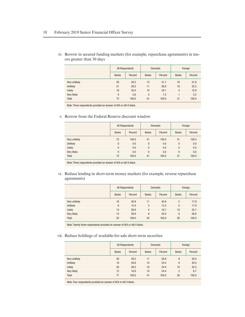|                 | All Respondents |         |              | <b>Domestic</b> | Foreign        |         |
|-----------------|-----------------|---------|--------------|-----------------|----------------|---------|
|                 | <b>Banks</b>    | Percent | <b>Banks</b> | Percent         | <b>Banks</b>   | Percent |
| Very unlikely   | 29              | 40.3    | 13           | 31.7            | 16             | 51.6    |
| <b>Unlikely</b> | 21              | 29.2    | 11           | 26.8            | 10             | 32.3    |
| Likely          | 18              | 25.0    | 14           | 34.1            | $\overline{4}$ | 12.9    |
| Very likely     | $\overline{4}$  | 5.6     | 3            | 7.3             |                | 3.2     |
| Total           | 72              | 100.0   | 41           | 100.0           | 31             | 100.0   |

iv. Borrow in secured funding markets (for example, repurchase agreements) in tenors greater than 30 days

Note: Three respondents provided an answer of N/A or left it blank.

#### v. Borrow from the Federal Reserve discount window

|                 |                | All Respondents | <b>Domestic</b> |         |              | Foreign |  |
|-----------------|----------------|-----------------|-----------------|---------|--------------|---------|--|
|                 | <b>Banks</b>   | Percent         | <b>Banks</b>    | Percent | <b>Banks</b> | Percent |  |
| Very unlikely   | 72             | 100.0           | 41              | 100.0   | 31           | 100.0   |  |
| <b>Unlikely</b> | $\overline{0}$ | 0.0             | $\mathbf{0}$    | 0.0     | $\theta$     | 0.0     |  |
| Likely          | $\overline{0}$ | 0.0             | $\mathbf{0}$    | 0.0     | $\theta$     | 0.0     |  |
| Very likely     | $\overline{0}$ | 0.0             | $\mathbf{0}$    | 0.0     | $\theta$     | 0.0     |  |
| Total           | 72             | 100.0           | 41              | 100.0   | 31           | 100.0   |  |

Note: Three respondents provided an answer of N/A or left it blank.

vi. Reduce lending in short-term money markets (for example, reverse repurchase agreements)

|               | All Respondents |         |                | <b>Domestic</b> | Foreign      |         |
|---------------|-----------------|---------|----------------|-----------------|--------------|---------|
|               | <b>Banks</b>    | Percent | <b>Banks</b>   | Percent         | <b>Banks</b> | Percent |
| Very unlikely | 16              | 30.8    | 11             | 45.8            | 5            | 17.9    |
| Unlikely      | 8               | 15.4    | 3              | 12.5            | 5            | 17.9    |
| Likely        | 14              | 26.9    | $\overline{4}$ | 16.7            | 10           | 35.7    |
| Very likely   | 14              | 26.9    | 6              | 25.0            | 8            | 28.6    |
| <b>Total</b>  | 52<br>100.0     |         | 24             | 100.0           | 28           | 100.0   |
|               |                 |         |                |                 |              |         |

Note: Twenty-three respondents provided an answer of N/A or left it blank.

#### vii. Reduce holdings of available-for-sale short-term securities

|               |              | All Respondents | <b>Domestic</b> |         | Foreign        |         |
|---------------|--------------|-----------------|-----------------|---------|----------------|---------|
|               | <b>Banks</b> | Percent         | <b>Banks</b>    | Percent | <b>Banks</b>   | Percent |
| Very unlikely | 20           | 28.2            | 11              | 26.8    | 9              | 30.0    |
| Unlikely      | 19           | 26.8            | 10              | 24.4    | 9              | 30.0    |
| Likely        | 20           | 28.2            | 10              | 24.4    | 10             | 33.3    |
| Very likely   | 12           | 16.9            | 10              | 24.4    | $\overline{2}$ | 6.7     |
| Total         | 71           | 100.0           | 41              | 100.0   | 30             | 100.0   |

Note: Four respondents provided an answer of N/A or left it blank.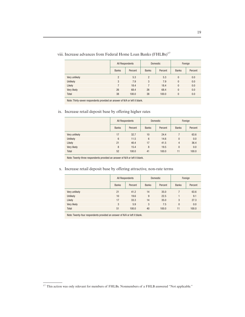|               | All Respondents |         |                | Domestic | Foreign      |         |  |
|---------------|-----------------|---------|----------------|----------|--------------|---------|--|
|               | <b>Banks</b>    | Percent | <b>Banks</b>   | Percent  | <b>Banks</b> | Percent |  |
| Very unlikely | $\overline{2}$  | 5.3     | $\overline{2}$ | 5.3      | 0            | 0.0     |  |
| Unlikely      | 3               | 7.9     | 3              | 7.9      | $\mathbf{0}$ | 0.0     |  |
| Likely        | 7               | 18.4    | 7              | 18.4     | 0            | 0.0     |  |
| Very likely   | 26              | 68.4    | 26             | 68.4     | $\mathbf{0}$ | 0.0     |  |
| <b>Total</b>  | 38              | 100.0   | 38             | 100.0    | 0            | 0.0     |  |

viii. Increase advances from Federal Home Loan Banks (FHLBs)<sup>17</sup>

Note: Thirty-seven respondents provided an answer of N/A or left it blank.

#### ix. Increase retail deposit base by offering higher rates

|               |              | All Respondents | <b>Domestic</b> |         | Foreign        |         |
|---------------|--------------|-----------------|-----------------|---------|----------------|---------|
|               | <b>Banks</b> | Percent         | <b>Banks</b>    | Percent | <b>Banks</b>   | Percent |
| Very unlikely | 17           | 32.7            | 10              | 24.4    |                | 63.6    |
| Unlikely      | 6            | 11.5            | 6               | 14.6    | $\theta$       | 0.0     |
| Likely        | 21           | 40.4            | 17              | 41.5    | $\overline{4}$ | 36.4    |
| Very likely   | 8            | 15.4            | 8               | 19.5    | $\mathbf{0}$   | 0.0     |
| <b>Total</b>  | 52           | 100.0           | 41              | 100.0   | 11             | 100.0   |

Note: Twenty-three respondents provided an answer of N/A or left it blank.

#### x. Increase retail deposit base by offering attractive, non-rate terms

|               | All Respondents |         |              | <b>Domestic</b> | Foreign      |         |  |
|---------------|-----------------|---------|--------------|-----------------|--------------|---------|--|
|               | <b>Banks</b>    | Percent | <b>Banks</b> | Percent         | <b>Banks</b> | Percent |  |
| Very unlikely | 21              | 41.2    | 14           | 35.0            |              | 63.6    |  |
| Unlikely      | 10              | 19.6    | 9            | 22.5            |              | 9.1     |  |
| Likely        | 17              | 33.3    | 14           | 35.0            | 3            | 27.3    |  |
| Very likely   | 3               | 5.9     | 3            | 7.5             | $\mathbf{0}$ | 0.0     |  |
| <b>Total</b>  | 51              | 100.0   | 40           | 100.0           | 11           | 100.0   |  |

Note: Twenty-four respondents provided an answer of N/A or left it blank.

<sup>&</sup>lt;sup>17</sup> This action was only relevant for members of FHLBs. Nonmembers of a FHLB answered "Not applicable."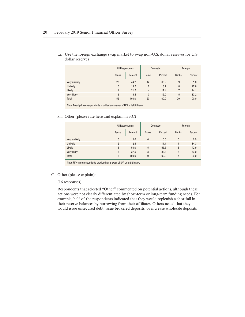|               | All Respondents |         |                | Domestic | Foreign      |         |  |
|---------------|-----------------|---------|----------------|----------|--------------|---------|--|
|               | <b>Banks</b>    | Percent | <b>Banks</b>   | Percent  | <b>Banks</b> | Percent |  |
| Very unlikely | 23              | 44.2    | 14             | 60.9     | 9            | 31.0    |  |
| Unlikely      | 10              | 19.2    | $\overline{2}$ | 8.7      | 8            | 27.6    |  |
| Likely        | 11              | 21.2    | $\overline{4}$ | 17.4     | 7            | 24.1    |  |
| Very likely   | 8               | 15.4    | 3              | 13.0     | 5            | 17.2    |  |
| Total         | 52              | 100.0   | 23             | 100.0    | 29           | 100.0   |  |

xi. Use the foreign exchange swap market to swap non-U.S. dollar reserves for U.S. dollar reserves

Note: Twenty-three respondents provided an answer of N/A or left it blank.

#### xii. Other (please rate here and explain in 3.C)

|               | Domestic<br>All Respondents |         | Foreign      |         |              |         |
|---------------|-----------------------------|---------|--------------|---------|--------------|---------|
|               | <b>Banks</b>                | Percent | <b>Banks</b> | Percent | <b>Banks</b> | Percent |
| Very unlikely | $\overline{0}$              | 0.0     | $\Omega$     | 0.0     | $\mathbf{0}$ | 0.0     |
| Unlikely      | $\overline{2}$              | 12.5    |              | 11.1    |              | 14.3    |
| Likely        | 8                           | 50.0    | 5            | 55.6    | 3            | 42.9    |
| Very likely   | 6                           | 37.5    | 3            | 33.3    | 3            | 42.9    |
| Total         | 16                          | 100.0   | 9            | 100.0   |              | 100.0   |

Note: Fifty-nine respondents provided an answer of N/A or left it blank.

#### C. Other (please explain):

#### (16 responses)

Respondents that selected "Other" commented on potential actions, although these actions were not clearly differentiated by short-term or long-term funding needs. For example, half of the respondents indicated that they would replenish a shortfall in their reserve balances by borrowing from their affiliates. Others noted that they would issue unsecured debt, issue brokered deposits, or increase wholesale deposits.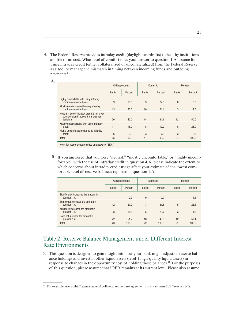4. The Federal Reserve provides intraday credit (daylight overdrafts) to healthy institutions at little or no cost. What level of comfort does your answer to question 1.A assume for using intraday credit (either collateralized or uncollateralized) from the Federal Reserve as a tool to manage the mismatch in timing between incoming funds and outgoing payments?

|                                                                                                   | All Respondents |         | <b>Domestic</b> |         | Foreign      |         |
|---------------------------------------------------------------------------------------------------|-----------------|---------|-----------------|---------|--------------|---------|
|                                                                                                   | <b>Banks</b>    | Percent | <b>Banks</b>    | Percent | <b>Banks</b> | Percent |
| Highly comfortable with using intraday<br>credit on a routine basis                               | 9               | 13.8    | 9               | 22.0    | $\theta$     | 0.0     |
| Mostly comfortable with using intraday<br>credit on a routine basis                               | 13              | 20.0    | 10              | 24.4    | 3            | 12.5    |
| Neutral – use of intraday credit is not a key<br>consideration in account management<br>decisions | 26              | 40.0    | 14              | 34.1    | 12           | 50.0    |
| Mostly uncomfortable with using intraday<br>credit                                                | 11              | 16.9    | 5               | 12.2    | 6            | 25.0    |
| Highly uncomfortable with using intraday<br>credit                                                | 6               | 9.2     | 3               | 7.3     | 3            | 12.5    |
| Total                                                                                             | 65              | 100.0   | 41              | 100.0   | 24           | 100.0   |

Note: Ten respondents provided an answer of "N/A.

B. If you answered that you were "neutral," "mostly uncomfortable," or "highly uncomfortable" with the use of intraday credit in question 4.A, please indicate the extent to which concerns about intraday credit usage affect your estimate of the lowest comfortable level of reserve balances reported in question 1.A.

|                                                       | All Respondents |         |                | <b>Domestic</b> | Foreign      |         |
|-------------------------------------------------------|-----------------|---------|----------------|-----------------|--------------|---------|
|                                                       | <b>Banks</b>    | Percent | <b>Banks</b>   | Percent         | <b>Banks</b> | Percent |
| Significantly increases the amount in<br>question 1.A |                 | 2.3     | $\Omega$       | 0.0             |              | 4.8     |
| Somewhat increases the amount in<br>question 1.A      | 12              | 27.9    | $\overline{7}$ | 31.8            | 5            | 23.8    |
| Minimally increases the amount in<br>question 1.A     | 8               | 18.6    | 5              | 22.7            | 3            | 14.3    |
| Does not increase the amount in<br>question 1.A       | 22              | 51.2    | 10             | 45.5            | 12           | 57.1    |
| Total                                                 | 43              | 100.0   | 22             | 100.0           | 21           | 100.0   |

## Table 2. Reserve Balance Management under Different Interest Rate Environments

5. This question is designed to gain insight into how your bank might adjust its reserve balance holdings and invest in other liquid assets (level-1 high-quality liquid assets) in response to changes in the opportunity cost of holding those balances.18 For the purposes of this question, please assume that IOER remains at its current level. Please also assume

<sup>&</sup>lt;sup>18</sup> For example, overnight Treasury general collateral repurchase agreements or short-term U.S. Treasury bills.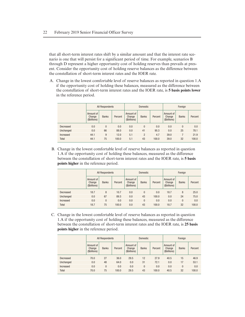that all short-term interest rates shift by a similar amount and that the interest rate scenario is one that will persist for a significant period of time. For example, scenarios B through D represent a higher opportunity cost of holding reserves than prevails at present. Consider the opportunity cost of holding reserve balances as the difference between the constellation of short-term interest rates and the IOER rate.

A. Change in the lowest comfortable level of reserve balances as reported in question 1.A if the opportunity cost of holding these balances, measured as the difference between the constellation of short-term interest rates and the IOER rate, is **5 basis points lower** in the reference period.

|           | All Respondents                     |              |         |                                     | <b>Domestic</b> |         |                                     | Foreign      |         |  |
|-----------|-------------------------------------|--------------|---------|-------------------------------------|-----------------|---------|-------------------------------------|--------------|---------|--|
|           | Amount of<br>Change<br>(\$billions) | <b>Banks</b> | Percent | Amount of<br>Change<br>(\$billions) | <b>Banks</b>    | Percent | Amount of<br>Change<br>(\$billions) | <b>Banks</b> | Percent |  |
| Decreased | 0.0                                 | $\theta$     | 0.0     | 0.0                                 | $\mathbf{0}$    | 0.0     | 0.0                                 | $\theta$     | 0.0     |  |
| Unchanged | 0.0                                 | 66           | 88.0    | 0.0                                 | 41              | 95.3    | 0.0                                 | 25           | 78.1    |  |
| Increased | 44.1                                | 9            | 12.0    | 5.1                                 | $\overline{2}$  | 4.7     | 39.0                                |              | 21.9    |  |
| Total     | 44.1                                | 75           | 100.0   | 5.1                                 | 43              | 100.0   | 39.0                                | 32           | 100.0   |  |

B. Change in the lowest comfortable level of reserve balances as reported in question 1.A if the opportunity cost of holding these balances, measured as the difference between the constellation of short-term interest rates and the IOER rate, is **5 basis points higher** in the reference period.

|           | All Respondents                     |              |         |                                     | <b>Domestic</b> |         |                                     | Foreign      |         |  |
|-----------|-------------------------------------|--------------|---------|-------------------------------------|-----------------|---------|-------------------------------------|--------------|---------|--|
|           | Amount of<br>Change<br>(\$billions) | <b>Banks</b> | Percent | Amount of<br>Change<br>(\$billions) | <b>Banks</b>    | Percent | Amount of<br>Change<br>(\$billions) | <b>Banks</b> | Percent |  |
| Decreased | 18.7                                | 8            | 10.7    | 0.0                                 | 0               | 0.0     | 18.7                                | 8            | 25.0    |  |
| Unchanged | 0.0                                 | 67           | 89.3    | 0.0                                 | 43              | 100.0   | 0.0                                 | 24           | 75.0    |  |
| Increased | 0.0                                 | $\mathbf{0}$ | 0.0     | 0.0                                 | $\overline{0}$  | 0.0     | 0.0                                 | $\mathbf{0}$ | 0.0     |  |
| Total     | 18.7                                | 75           | 100.0   | 0.0                                 | 43              | 100.0   | 18.7                                | 32           | 100.0   |  |

C. Change in the lowest comfortable level of reserve balances as reported in question 1.A if the opportunity cost of holding these balances, measured as the difference between the constellation of short-term interest rates and the IOER rate, is **25 basis points higher** in the reference period.

|           | All Respondents                     |              |         | <b>Domestic</b>                     |              |         | Foreign                             |              |         |
|-----------|-------------------------------------|--------------|---------|-------------------------------------|--------------|---------|-------------------------------------|--------------|---------|
|           | Amount of<br>Change<br>(\$billions) | <b>Banks</b> | Percent | Amount of<br>Change<br>(\$billions) | <b>Banks</b> | Percent | Amount of<br>Change<br>(\$billions) | <b>Banks</b> | Percent |
| Decreased | 70.0                                | 27           | 36.0    | 29.5                                | 12           | 27.9    | 40.5                                | 15           | 46.9    |
| Unchanged | 0.0                                 | 48           | 64.0    | 0.0                                 | 31           | 72.1    | 0.0                                 | 17           | 53.1    |
| Increased | 0.0                                 | $\mathbf{0}$ | 0.0     | 0.0                                 | $\mathbf{0}$ | 0.0     | 0.0                                 | $\mathbf{0}$ | 0.0     |
| Total     | 70.0                                | 75           | 100.0   | 29.5                                | 43           | 100.0   | 40.5                                | 32           | 100.0   |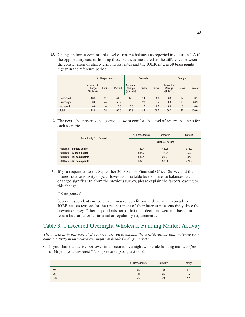D. Change in lowest comfortable level of reserve balances as reported in question 1.A if the opportunity cost of holding these balances, measured as the difference between the constellation of short-term interest rates and the IOER rate, is **50 basis points higher** in the reference period.

|           | <b>All Respondents</b>              |              |         | <b>Domestic</b>                     |              |         | Foreign                             |              |         |
|-----------|-------------------------------------|--------------|---------|-------------------------------------|--------------|---------|-------------------------------------|--------------|---------|
|           | Amount of<br>Change<br>(\$billions) | <b>Banks</b> | Percent | Amount of<br>Change<br>(\$billions) | <b>Banks</b> | Percent | Amount of<br>Change<br>(\$billions) | <b>Banks</b> | Percent |
| Decreased | 118.5                               | 31           | 41.3    | 62.3                                | 14           | 32.6    | 56.2                                | 17           | 53.1    |
| Unchanged | 0.0                                 | 44           | 58.7    | 0.0                                 | 29           | 67.4    | 0.0                                 | 15           | 46.9    |
| Increased | 0.0                                 | $\bf{0}$     | 0.0     | 0.0                                 | $\mathbf{0}$ | 0.0     | 0.0                                 | 0            | 0.0     |
| Total     | 118.5                               | 75           | 100.0   | 62.3                                | 43           | 100.0   | 56.2                                | 32           | 100.0   |

E. The next table presents the aggregate lowest comfortable level of reserve balances for each scenario.

| <b>Opportunity Cost Scenario</b> | All Respondents | <b>Domestic</b>       | Foreign |
|----------------------------------|-----------------|-----------------------|---------|
|                                  |                 | (billions of dollars) |         |
| IOER rate $-5$ basis points      | 747.4           | 430.5                 | 316.9   |
| IOER rate $+5$ basis points      | 684.7           | 425.4                 | 259.3   |
| IOER rate $+25$ basis points     | 633.4           | 395.9                 | 237.5   |
| IOER rate $+50$ basis points     | 584.8           | 363.1                 | 221.7   |

F. If you responded to the September 2018 Senior Financial Officer Survey and the interest rate sensitivity of your lowest comfortable level of reserve balances has changed significantly from the previous survey, please explain the factors leading to this change.

(18 responses)

Several respondents noted current market conditions and overnight spreads to the IOER rate as reasons for their reassessment of their interest rate sensitivity since the previous survey. Other respondents noted that their decisions were not based on return but rather other internal or regulatory requirements.

### Table 3. Unsecured Overnight Wholesale Funding Market Activity

*The questions in this part of the survey ask you to explain the considerations that motivate your bank's activity in unsecured overnight wholesale funding markets.*

6. Is your bank an active borrower in unsecured overnight wholesale funding markets (Yes or No)? If you answered "No," please skip to question 8.

|           | All Respondents | Domestic | Foreign                  |
|-----------|-----------------|----------|--------------------------|
| Yes       | 45              | 18       | $\overline{\mathcal{L}}$ |
| <b>No</b> | 30              | 25       |                          |
| Total     | 75              | 43       | 32                       |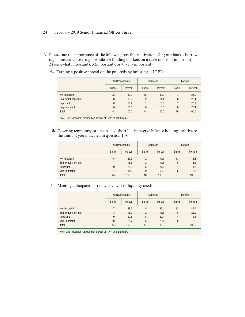- 7. Please rate the importance of the following possible motivations for your bank's borrowing in unsecured overnight wholesale funding markets on a scale of 1 (not important), 2 (somewhat important), 3 (important), or 4 (very important).
	- A. Earning a positive spread on the proceeds by investing at IOER:

|                    | All Respondents |         |                | <b>Domestic</b> | Foreign      |         |
|--------------------|-----------------|---------|----------------|-----------------|--------------|---------|
|                    | <b>Banks</b>    | Percent | <b>Banks</b>   | Percent         | <b>Banks</b> | Percent |
| Not important      | 22              | 50.0    | 15             | 83.3            |              | 26.9    |
| Somewhat important | 8               | 18.2    | $\overline{2}$ | 11.1            | 6            | 23.1    |
| Important          | 8               | 18.2    |                | 5.6             |              | 26.9    |
| Very important     | 6               | 13.6    | 0              | 0.0             | 6            | 23.1    |
| Total              | 44              | 100.0   | 18             | 100.0           | 26           | 100.0   |

Note: One respondent provided an answer of "N/A" or left it blank.

B. Covering temporary or unexpected shortfalls in reserve balance holdings relative to the amount you indicated in question 1.A:

|                    | All Respondents |         |                | <b>Domestic</b> | Foreign        |         |
|--------------------|-----------------|---------|----------------|-----------------|----------------|---------|
|                    | <b>Banks</b>    | Percent | <b>Banks</b>   | Percent         | <b>Banks</b>   | Percent |
| Not important      | 15              | 33.3    | $\overline{2}$ | 11.1            | 13             | 48.1    |
| Somewhat important |                 | 15.6    | $\overline{2}$ | 11.1            | 5              | 18.5    |
| Important          | 9               | 20.0    | 5              | 27.8            | $\overline{4}$ | 14.8    |
| Very important     | 14              | 31.1    | 9              | 50.0            | 5              | 18.5    |
| Total              | 45              | 100.0   | 18             | 100.0           | 27             | 100.0   |

C. Meeting anticipated intraday payment or liquidity needs:

|                    |              | All Respondents | <b>Domestic</b> |         | Foreign         |         |
|--------------------|--------------|-----------------|-----------------|---------|-----------------|---------|
|                    | <b>Banks</b> | Percent         | <b>Banks</b>    | Percent | <b>Banks</b>    | Percent |
| Not important      | 17           | 38.6            | 5               | 29.4    | 12              | 44.4    |
| Somewhat important | 8            | 18.2            | $\overline{2}$  | 11.8    | $6\overline{6}$ | 22.2    |
| Important          | 9            | 20.5            | 5               | 29.4    | 4               | 14.8    |
| Very important     | 10           | 22.7            | 5               | 29.4    | 5               | 18.5    |
| Total              | 44           | 100.0           | 17              | 100.0   | 27              | 100.0   |

Note: One respondent provided an answer of "N/A" or left it blank.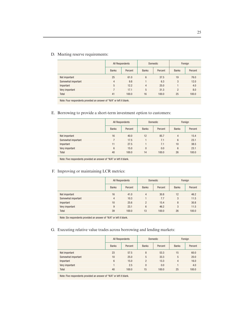#### D. Meeting reserve requirements:

|                    | All Respondents |         |                | <b>Domestic</b> | Foreign        |         |
|--------------------|-----------------|---------|----------------|-----------------|----------------|---------|
|                    | <b>Banks</b>    | Percent | <b>Banks</b>   | Percent         | <b>Banks</b>   | Percent |
| Not important      | 25              | 61.0    | 6              | 37.5            | 19             | 76.0    |
| Somewhat important | 4               | 9.8     |                | 6.3             | 3              | 12.0    |
| Important          | 5               | 12.2    | $\overline{4}$ | 25.0            |                | 4.0     |
| Very important     |                 | 17.1    | 5              | 31.3            | $\overline{2}$ | 8.0     |
| Total              | 41              | 100.0   | 16             | 100.0           | 25             | 100.0   |

Note: Four respondents provided an answer of "N/A" or left it blank.

E. Borrowing to provide a short-term investment option to customers:

|                    | All Respondents |         |              | <b>Domestic</b> | Foreign        |         |
|--------------------|-----------------|---------|--------------|-----------------|----------------|---------|
|                    | <b>Banks</b>    | Percent | <b>Banks</b> | Percent         | <b>Banks</b>   | Percent |
| Not important      | 16              | 40.0    | 12           | 85.7            | $\overline{4}$ | 15.4    |
| Somewhat important | 7               | 17.5    |              | 7.1             | 6              | 23.1    |
| Important          | 11              | 27.5    |              | 7.1             | 10             | 38.5    |
| Very important     | 6               | 15.0    | $\mathbf{0}$ | 0.0             | 6              | 23.1    |
| Total              | 40              | 100.0   | 14           | 100.0           | 26             | 100.0   |

Note: Five respondents provided an answer of "N/A" or left it blank.

#### F. Improving or maintaining LCR metrics:

|                    | All Respondents |         |                | <b>Domestic</b> | Foreign      |         |
|--------------------|-----------------|---------|----------------|-----------------|--------------|---------|
|                    | <b>Banks</b>    | Percent | <b>Banks</b>   | Percent         | <b>Banks</b> | Percent |
| Not important      | 16              | 41.0    | 4              | 30.8            | 12           | 46.2    |
| Somewhat important | 4               | 10.3    |                | 7.7             | 3            | 11.5    |
| Important          | 10              | 25.6    | $\overline{2}$ | 15.4            | 8            | 30.8    |
| Very important     | 9               | 23.1    | 6              | 46.2            | 3            | 11.5    |
| Total              | 39              | 100.0   | 13             | 100.0           | 26           | 100.0   |

Note: Six respondents provided an answer of "N/A" or left it blank.

#### G. Executing relative value trades across borrowing and lending markets:

|                    | All Respondents |         |                | <b>Domestic</b> | Foreign      |         |  |
|--------------------|-----------------|---------|----------------|-----------------|--------------|---------|--|
|                    | <b>Banks</b>    | Percent | <b>Banks</b>   | Percent         | <b>Banks</b> | Percent |  |
| Not important      | 23              | 57.5    | 8              | 53.3            | 15           | 60.0    |  |
| Somewhat important | 10              | 25.0    | 5              | 33.3            | 5            | 20.0    |  |
| Important          | 6               | 15.0    | $\overline{2}$ | 13.3            | 4            | 16.0    |  |
| Very important     |                 | 2.5     | $\mathbf{0}$   | 0.0             |              | 4.0     |  |
| <b>Total</b>       | 40              | 100.0   | 15             | 100.0           | 25           | 100.0   |  |

Note: Five respondents provided an answer of "N/A" or left it blank.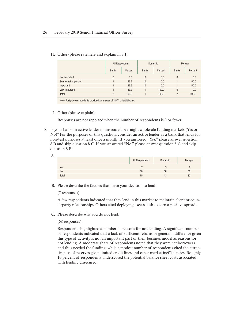H. Other (please rate here and explain in 7.I):

|                    |              | All Respondents | <b>Domestic</b> |         | Foreign        |         |
|--------------------|--------------|-----------------|-----------------|---------|----------------|---------|
|                    | <b>Banks</b> | Percent         | <b>Banks</b>    | Percent | <b>Banks</b>   | Percent |
| Not important      | $\theta$     | 0.0             | $\Omega$        | 0.0     | $\mathbf{0}$   | 0.0     |
| Somewhat important |              | 33.3            | $\theta$        | 0.0     |                | 50.0    |
| Important          |              | 33.3            | $\theta$        | 0.0     |                | 50.0    |
| Very important     |              | 33.3            |                 | 100.0   | $\mathbf{0}$   | 0.0     |
| Total              | 3            | 100.0           |                 | 100.0   | $\overline{2}$ | 100.0   |

Note: Forty-two respondents provided an answer of "N/A" or left it blank.

I. Other (please explain):

Responses are not reported when the number of respondents is 3 or fewer.

8. Is your bank an active lender in unsecured overnight wholesale funding markets (Yes or No)? For the purposes of this question, consider an active lender as a bank that lends for non-test purposes at least once a month. If you answered "Yes," please answer question 8.B and skip question 8.C. If you answered "No," please answer question 8.C and skip question 8.B.

| А. |           |                 |          |         |
|----|-----------|-----------------|----------|---------|
|    |           | All Respondents | Domestic | Foreign |
|    | Yes       |                 |          |         |
|    | <b>No</b> | 68              | 38       | 30      |
|    | Total     | 75              | 43       | 32      |
|    |           |                 |          |         |

B. Please describe the factors that drive your decision to lend:

(7 responses)

A few respondents indicated that they lend in this market to maintain client or counterparty relationships. Others cited deploying excess cash to earn a positive spread.

C. Please describe why you do not lend:

#### (68 responses)

Respondents highlighted a number of reasons for not lending. A significant number of respondents indicated that a lack of sufficient returns or general indifference given this type of activity is not an important part of their business model as reasons for not lending. A moderate share of respondents noted that they were net borrowers and thus needed the funding, while a modest number of respondents cited the attractiveness of reserves given limited credit lines and other market inefficiencies. Roughly 10 percent of respondents underscored the potential balance sheet costs associated with lending unsecured.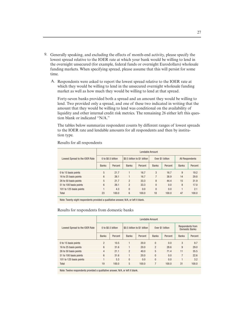- 9. Generally speaking, and excluding the effects of month-end activity, please specify the lowest spread relative to the IOER rate at which your bank would be willing to lend in the overnight unsecured (for example, federal funds or overnight Eurodollars) wholesale funding markets. When specifying spread, please assume that this will persist for some time.
	- A. Respondents were asked to report the lowest spread relative to the IOER rate at which they would be willing to lend in the unsecured overnight wholesale funding market as well as how much they would be willing to lend at that spread.

Forty-seven banks provided both a spread and an amount they would be willing to lend. Two provided only a spread, and one of these two indicated in writing that the amount that they would be willing to lend was conditional on the availability of liquidity and other internal credit risk metrics. The remaining 26 either left this question blank or indicated "N/A."

The tables below summarize respondent counts by different ranges of lowest spreads to the IOER rate and lendable amounts for all respondents and then by institution type.

|                                | Lendable Amount    |         |                              |         |                  |         |                 |         |  |
|--------------------------------|--------------------|---------|------------------------------|---------|------------------|---------|-----------------|---------|--|
| Lowest Spread to the IOER Rate | 0 to \$0.5 billion |         | \$0.5 billion to \$1 billion |         | Over \$1 billion |         | All Respondents |         |  |
|                                | <b>Banks</b>       | Percent | <b>Banks</b>                 | Percent | <b>Banks</b>     | Percent | <b>Banks</b>    | Percent |  |
| 0 to 15 basis points           | 5                  | 21.7    |                              | 16.7    | 3                | 16.7    | 9               | 19.2    |  |
| 16 to 25 basis points          | 6                  | 26.1    |                              | 16.7    | 7                | 38.9    | 14              | 29.8    |  |
| 26 to 50 basis points          | 5                  | 21.7    | $\overline{2}$               | 33.3    | 8                | 44.4    | 15              | 31.9    |  |
| 51 to 100 basis points         | 6                  | 26.1    | $\overline{2}$               | 33.3    | $\Omega$         | 0.0     | 8               | 17.0    |  |
| 101 to 125 basis points        |                    | 4.3     | $\Omega$                     | 0.0     | $\theta$         | 0.0     |                 | 2.1     |  |
| Total                          | 23                 | 100.0   | 6                            | 100.0   | 18               | 100.0   | 47              | 100.0   |  |

Results for all respondents

Note: Twenty-eight respondents provided a qualitative answer, N/A, or left it blank.

#### Results for respondents from domestic banks

|                                | Lendable Amount    |         |                              |         |                  |         |                                           |         |  |
|--------------------------------|--------------------|---------|------------------------------|---------|------------------|---------|-------------------------------------------|---------|--|
| Lowest Spread to the IOER Rate | 0 to \$0.5 billion |         | \$0.5 billion to \$1 billion |         | Over \$1 billion |         | Respondents from<br><b>Domestic Banks</b> |         |  |
|                                | <b>Banks</b>       | Percent | <b>Banks</b>                 | Percent | <b>Banks</b>     | Percent | <b>Banks</b>                              | Percent |  |
| 0 to 15 basis points           | $\overline{2}$     | 10.5    |                              | 20.0    | $\theta$         | 0.0     | 3                                         | 9.7     |  |
| 16 to 25 basis points          | 6                  | 31.6    |                              | 20.0    | $\overline{2}$   | 28.6    | 9                                         | 29.0    |  |
| 26 to 50 basis points          | 4                  | 21.1    | $\overline{2}$               | 40.0    | 5                | 71.4    | 11                                        | 35.5    |  |
| 51 to 100 basis points         | 6                  | 31.6    |                              | 20.0    | $\theta$         | 0.0     | 7                                         | 22.6    |  |
| 101 to 125 basis points        |                    | 5.3     | $\theta$                     | 0.0     | $\theta$         | 0.0     |                                           | 3.2     |  |
| Total                          | 19                 | 100.0   | 5                            | 100.0   | 7                | 100.0   | 31                                        | 100.0   |  |

Note: Twelve respondents provided a qualitative answer, N/A, or left it blank.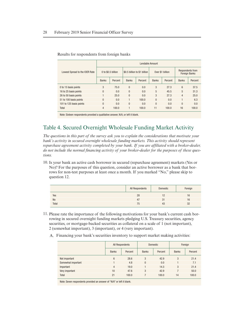|                                | Lendable Amount    |         |                              |         |                  |         |                                          |         |  |
|--------------------------------|--------------------|---------|------------------------------|---------|------------------|---------|------------------------------------------|---------|--|
| Lowest Spread to the IOER Rate | 0 to \$0.5 billion |         | \$0.5 billion to \$1 billion |         | Over \$1 billion |         | Respondents from<br><b>Foreign Banks</b> |         |  |
|                                | <b>Banks</b>       | Percent | <b>Banks</b>                 | Percent | <b>Banks</b>     | Percent | <b>Banks</b>                             | Percent |  |
| 0 to 15 basis points           | 3                  | 75.0    | $\theta$                     | 0.0     | 3                | 27.3    | 6                                        | 37.5    |  |
| 16 to 25 basis points          | $\theta$           | 0.0     | $\theta$                     | 0.0     | 5                | 45.5    | 5                                        | 31.3    |  |
| 26 to 50 basis points          | ۴                  | 25.0    | $\theta$                     | 0.0     | 3                | 27.3    | $\overline{4}$                           | 25.0    |  |
| 51 to 100 basis points         | $\theta$           | 0.0     |                              | 100.0   | $\theta$         | 0.0     |                                          | 6.3     |  |
| 101 to 125 basis points        | $\theta$           | 0.0     | $\Omega$                     | 0.0     | $\theta$         | 0.0     | $\Omega$                                 | 0.0     |  |
| Total                          | 4                  | 100.0   |                              | 100.0   | 11               | 100.0   | 16                                       | 100.0   |  |

Results for respondents from foreign banks

Note: Sixteen respondents provided a qualitative answer, N/A, or left it blank.

## Table 4. Secured Overnight Wholesale Funding Market Activity

*The questions in this part of the survey ask you to explain the considerations that motivate your bank's activity in secured overnight wholesale funding markets. This activity should represent repurchase agreement activity completed by your bank. If you are affiliated with a broker-dealer, do not include the normal financing activity of your broker-dealer for the purposes of these questions.*

10. Is your bank an active cash borrower in secured (repurchase agreement) markets (Yes or No)? For the purposes of this question, consider an active borrower as a bank that borrows for non-test purposes at least once a month. If you marked "No," please skip to question 12.

|           | All Respondents | Domestic | Foreign |
|-----------|-----------------|----------|---------|
| Yes       | 28              | 10       | 16      |
| <b>No</b> | 47              | 31       | 16      |
| Total     | 75              | 43       | 32      |

- 11. Please rate the importance of the following motivations for your bank's current cash borrowing in secured overnight funding markets pledging U.S. Treasury securities, agency securities, or mortgage-backed securities as collateral on a scale of 1 (not important), 2 (somewhat important), 3 (important), or 4 (very important).
	- A. Financing your bank's securities inventory to support market making activities:

|                    | All Respondents |         |              | <b>Domestic</b> | Foreign      |         |  |
|--------------------|-----------------|---------|--------------|-----------------|--------------|---------|--|
|                    | <b>Banks</b>    | Percent | <b>Banks</b> | Percent         | <b>Banks</b> | Percent |  |
| Not important      | 6               | 28.6    | 3            | 42.9            | 3            | 21.4    |  |
| Somewhat important |                 | 4.8     | $\mathbf{0}$ | 0.0             |              | 7.1     |  |
| Important          | $\overline{4}$  | 19.0    |              | 14.3            | 3            | 21.4    |  |
| Very important     | 10              | 47.6    | 3            | 42.9            | 7            | 50.0    |  |
| <b>Total</b>       | 21              | 100.0   |              | 100.0           | 14           | 100.0   |  |

Note: Seven respondents provided an answer of "N/A" or left it blank.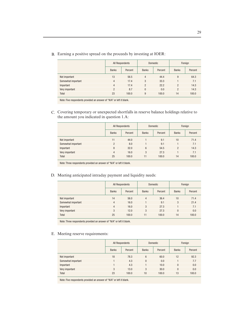|                    | All Respondents |         |                | <b>Domestic</b> | Foreign        |         |  |
|--------------------|-----------------|---------|----------------|-----------------|----------------|---------|--|
|                    | <b>Banks</b>    | Percent | <b>Banks</b>   | Percent         | <b>Banks</b>   | Percent |  |
| Not important      | 13              | 56.5    | $\overline{4}$ | 44.4            | 9              | 64.3    |  |
| Somewhat important | 4               | 17.4    | 3              | 33.3            |                | 7.1     |  |
| Important          | 4               | 17.4    | $\mathfrak{p}$ | 22.2            | $\mathfrak{p}$ | 14.3    |  |
| Very important     | $\overline{2}$  | 8.7     | $\Omega$       | 0.0             | 2              | 14.3    |  |
| <b>Total</b>       | 23              | 100.0   | 9              | 100.0           | 14             | 100.0   |  |

B. Earning a positive spread on the proceeds by investing at IOER:

Note: Five respondents provided an answer of "N/A" or left it blank.

C. Covering temporary or unexpected shortfalls in reserve balance holdings relative to the amount you indicated in question 1.A:

|                    | All Respondents |         |              | <b>Domestic</b> | Foreign        |         |  |
|--------------------|-----------------|---------|--------------|-----------------|----------------|---------|--|
|                    | <b>Banks</b>    | Percent | <b>Banks</b> | Percent         | <b>Banks</b>   | Percent |  |
| Not important      | 11              | 44.0    |              | 9.1             | 10             | 71.4    |  |
| Somewhat important | $\overline{2}$  | 8.0     |              | 9.1             |                | 7.1     |  |
| Important          | 8               | 32.0    | 6            | 54.5            | $\overline{2}$ | 14.3    |  |
| Very important     | 4               | 16.0    | 3            | 27.3            |                | 7.1     |  |
| Total              | 25              | 100.0   | 11           | 100.0           | 14             | 100.0   |  |

Note: Three respondents provided an answer of "N/A" or left it blank.

D. Meeting anticipated intraday payment and liquidity needs:

|                    | All Respondents |         |              | <b>Domestic</b> | Foreign      |         |  |
|--------------------|-----------------|---------|--------------|-----------------|--------------|---------|--|
|                    | <b>Banks</b>    | Percent | <b>Banks</b> | Percent         | <b>Banks</b> | Percent |  |
| Not important      | 14              | 56.0    | 4            | 36.4            | 10           | 71.4    |  |
| Somewhat important | 4               | 16.0    |              | 9.1             | 3            | 21.4    |  |
| Important          | $\overline{4}$  | 16.0    | 3            | 27.3            |              | 7.1     |  |
| Very important     | 3               | 12.0    | 3            | 27.3            | $\Omega$     | 0.0     |  |
| Total              | 25              | 100.0   | 11           | 100.0           | 14           | 100.0   |  |

Note: Three respondents provided an answer of "N/A" or left it blank.

#### E. Meeting reserve requirements:

|                    | All Respondents |         |              | <b>Domestic</b> | Foreign      |         |  |
|--------------------|-----------------|---------|--------------|-----------------|--------------|---------|--|
|                    | <b>Banks</b>    | Percent | <b>Banks</b> | Percent         | <b>Banks</b> | Percent |  |
| Not important      | 18              | 78.3    | 6            | 60.0            | 12           | 92.3    |  |
| Somewhat important |                 | 4.3     | 0            | 0.0             |              | 7.7     |  |
| Important          |                 | 4.3     |              | 10.0            | $\Omega$     | 0.0     |  |
| Very important     | 3               | 13.0    | 3            | 30.0            | $\Omega$     | 0.0     |  |
| Total              | 23              | 100.0   | 10           | 100.0           | 13           | 100.0   |  |

Note: Five respondents provided an answer of "N/A" or left it blank.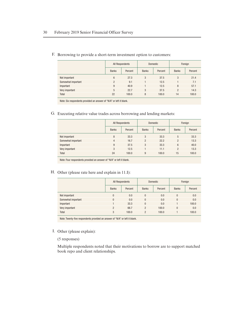|                    | All Respondents |         |              | <b>Domestic</b> | Foreign        |         |
|--------------------|-----------------|---------|--------------|-----------------|----------------|---------|
|                    | <b>Banks</b>    | Percent | <b>Banks</b> | Percent         | <b>Banks</b>   | Percent |
| Not important      | 6               | 27.3    | 3            | 37.5            | 3              | 21.4    |
| Somewhat important | $\overline{2}$  | 9.1     |              | 12.5            |                | 7.1     |
| Important          | 9               | 40.9    |              | 12.5            | 8              | 57.1    |
| Very important     | 5               | 22.7    | 3            | 37.5            | $\overline{2}$ | 14.3    |
| <b>Total</b>       | 22              | 100.0   | 8            | 100.0           | 14             | 100.0   |

F. Borrowing to provide a short-term investment option to customers:

Note: Six respondents provided an answer of "N/A" or left it blank.

G. Executing relative value trades across borrowing and lending markets:

|                    | All Respondents |         |                | <b>Domestic</b> | Foreign        |         |  |
|--------------------|-----------------|---------|----------------|-----------------|----------------|---------|--|
|                    | <b>Banks</b>    | Percent | <b>Banks</b>   | Percent         | <b>Banks</b>   | Percent |  |
| Not important      | 8               | 33.3    | 3              | 33.3            | 5              | 33.3    |  |
| Somewhat important | $\overline{4}$  | 16.7    | $\mathfrak{p}$ | 22.2            | $\mathfrak{p}$ | 13.3    |  |
| Important          | 9               | 37.5    | 3              | 33.3            | 6              | 40.0    |  |
| Very important     | 3               | 12.5    |                | 11.1            | $\overline{2}$ | 13.3    |  |
| Total              | 24              | 100.0   | 9              | 100.0           | 15             | 100.0   |  |

Note: Four respondents provided an answer of "N/A" or left it blank.

H. Other (please rate here and explain in 11.I):

|                    | All Respondents |         |                | <b>Domestic</b> | Foreign      |         |  |
|--------------------|-----------------|---------|----------------|-----------------|--------------|---------|--|
|                    | <b>Banks</b>    | Percent | <b>Banks</b>   | Percent         | <b>Banks</b> | Percent |  |
| Not important      | $\overline{0}$  | 0.0     | $\mathbf{0}$   | 0.0             | $\Omega$     | 0.0     |  |
| Somewhat important | $\theta$        | 0.0     | $\mathbf{0}$   | 0.0             | $\Omega$     | 0.0     |  |
| Important          |                 | 33.3    | $\mathbf{0}$   | 0.0             |              | 100.0   |  |
| Very important     | $\overline{2}$  | 66.7    | $\overline{2}$ | 100.0           | $\Omega$     | 0.0     |  |
| Total              | 3               | 100.0   | $\overline{2}$ | 100.0           |              | 100.0   |  |

Note: Twenty-five respondents provided an answer of "N/A" or left it blank.

I. Other (please explain):

(5 responses)

Multiple respondents noted that their motivations to borrow are to support matched book repo and client relationships.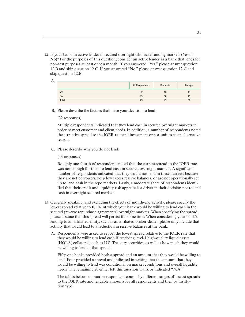12. Is your bank an active lender in secured overnight wholesale funding markets (Yes or No)? For the purposes of this question, consider an active lender as a bank that lends for non-test purposes at least once a month. If you answered "Yes," please answer question 12.B and skip question 12.C. If you answered "No," please answer question 12.C and skip question 12.B.

| А. |           |                 |          |         |
|----|-----------|-----------------|----------|---------|
|    |           | All Respondents | Domestic | Foreign |
|    | Yes       | 32              | 13       | 19      |
|    | <b>No</b> | 43              | 30       | 13      |
|    | Total     | 75              | 43       | 32      |

B. Please describe the factors that drive your decision to lend:

#### (32 responses)

Multiple respondents indicated that they lend cash in secured overnight markets in order to meet customer and client needs. In addition, a number of respondents noted the attractive spread to the IOER rate and investment opportunities as an alternative reason.

C. Please describe why you do not lend:

(43 responses)

Roughly one-fourth of respondents noted that the current spread to the IOER rate was not enough for them to lend cash in secured overnight markets. A significant number of respondents indicated that they would not lend in these markets because they are net borrowers, keep low excess reserve balances, or are not operationally set up to lend cash in the repo markets. Lastly, a moderate share of respondents identified that their credit and liquidity risk appetite is a driver in their decision not to lend cash in overnight secured markets.

- 13. Generally speaking, and excluding the effects of month-end activity, please specify the lowest spread relative to IOER at which your bank would be willing to lend cash in the secured (reverse repurchase agreements) overnight markets. When specifying the spread, please assume that this spread will persist for some time. When considering your bank's lending to an affiliated entity, such as an affiliated broker-dealer, please only include that activity that would lead to a reduction in reserve balances at the bank.
	- A. Respondents were asked to report the lowest spread relative to the IOER rate that they would be willing to lend cash if receiving level-1 high-quality liquid assets (HQLA) collateral, such as U.S. Treasury securities, as well as how much they would be willing to lend at that spread.

Fifty-one banks provided both a spread and an amount that they would be willing to lend. Four provided a spread and indicated in writing that the amount that they would be willing to lend was conditional on market conditions and overall liquidity needs. The remaining 20 either left this question blank or indicated "N/A."

The tables below summarize respondent counts by different ranges of lowest spreads to the IOER rate and lendable amounts for all respondents and then by institution type.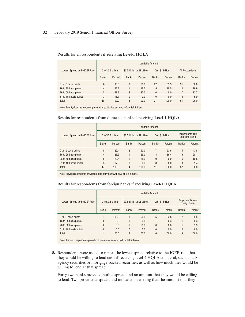| Lowest Spread to the IOER Rate |                    | Lendable Amount |                              |         |                  |         |                 |         |  |  |  |
|--------------------------------|--------------------|-----------------|------------------------------|---------|------------------|---------|-----------------|---------|--|--|--|
|                                | 0 to \$0.5 billion |                 | \$0.5 billion to \$1 billion |         | Over \$1 billion |         | All Respondents |         |  |  |  |
|                                | <b>Banks</b>       | Percent         | <b>Banks</b>                 | Percent | <b>Banks</b>     | Percent | <b>Banks</b>    | Percent |  |  |  |
| 0 to 15 basis points           | 6                  | 33.3            | 3                            | 50.0    | 22               | 81.5    | 31              | 60.8    |  |  |  |
| 16 to 25 basis points          | 4                  | 22.2            |                              | 16.7    | 5                | 18.5    | 10              | 19.6    |  |  |  |
| 26 to 50 basis points          | 5                  | 27.8            | $\overline{2}$               | 33.3    | $\theta$         | 0.0     |                 | 13.7    |  |  |  |
| 51 to 100 basis points         | 3                  | 16.7            | $\Omega$                     | 0.0     | $\theta$         | 0.0     | 3               | 5.9     |  |  |  |
| Total                          | 18                 | 100.0           | 6                            | 100.0   | 27               | 100.0   | 51              | 100.0   |  |  |  |

#### Results for all respondents if receiving **Level-1 HQLA**

Note: Twenty-four respondents provided a qualitative answer, N/A, or left it blank.

#### Results for respondents from domestic banks if receiving **Level-1 HQLA**

| Lowest Spread to the IOER Rate | Lendable Amount    |         |                              |         |                  |         |                                           |         |  |  |  |
|--------------------------------|--------------------|---------|------------------------------|---------|------------------|---------|-------------------------------------------|---------|--|--|--|
|                                | 0 to \$0.5 billion |         | \$0.5 billion to \$1 billion |         | Over \$1 billion |         | Respondents from<br><b>Domestic Banks</b> |         |  |  |  |
|                                | <b>Banks</b>       | Percent | <b>Banks</b>                 | Percent | <b>Banks</b>     | Percent | <b>Banks</b>                              | Percent |  |  |  |
| 0 to 15 basis points           | 5                  | 29.4    | $\overline{2}$               | 50.0    | 7                | 63.6    | 14                                        | 43.8    |  |  |  |
| 16 to 25 basis points          | $\overline{4}$     | 23.5    |                              | 25.0    | 4                | 36.4    | 9                                         | 28.1    |  |  |  |
| 26 to 50 basis points          | 5                  | 29.4    |                              | 25.0    | $\theta$         | 0.0     | 6                                         | 18.8    |  |  |  |
| 51 to 100 basis points         | 3                  | 17.6    | $\Omega$                     | 0.0     | $\theta$         | 0.0     | 3                                         | 9.4     |  |  |  |
| Total                          | 17                 | 100.0   | $\overline{4}$               | 100.0   | 11               | 100.0   | 32                                        | 100.0   |  |  |  |

Note: Eleven respondents provided a qualitative answer, N/A, or left it blank.

#### Results for respondents from foreign banks if receiving **Level-1 HQLA**

| Lowest Spread to the IOER Rate | Lendable Amount    |         |                              |         |                  |         |                                          |         |  |  |
|--------------------------------|--------------------|---------|------------------------------|---------|------------------|---------|------------------------------------------|---------|--|--|
|                                | 0 to \$0.5 billion |         | \$0.5 billion to \$1 billion |         | Over \$1 billion |         | Respondents from<br><b>Foreign Banks</b> |         |  |  |
|                                | <b>Banks</b>       | Percent | <b>Banks</b>                 | Percent | <b>Banks</b>     | Percent | <b>Banks</b>                             | Percent |  |  |
| 0 to 15 basis points           |                    | 100.0   |                              | 50.0    | 15               | 93.8    | 17                                       | 89.5    |  |  |
| 16 to 25 basis points          | $\Omega$           | 0.0     | $\Omega$                     | 0.0     |                  | 6.3     |                                          | 5.3     |  |  |
| 26 to 50 basis points          | $\Omega$           | 0.0     |                              | 50.0    | $\theta$         | 0.0     |                                          | 5.3     |  |  |
| 51 to 100 basis points         | $\Omega$           | 0.0     | $\theta$                     | 0.0     | $\Omega$         | 0.0     | $\Omega$                                 | 0.0     |  |  |
| Total                          |                    | 100.0   | $\overline{2}$               | 100.0   | 16               | 100.0   | 19                                       | 100.0   |  |  |

Note: Thirteen respondents provided a qualitative answer, N/A, or left it blank.

B. Respondents were asked to report the lowest spread relative to the IOER rate that they would be willing to lend cash if receiving level-2 HQLA collateral, such as U.S. agency securities or mortgage-backed securities, as well as how much they would be willing to lend at that spread.

Forty-two banks provided both a spread and an amount that they would be willing to lend. Two provided a spread and indicated in writing that the amount that they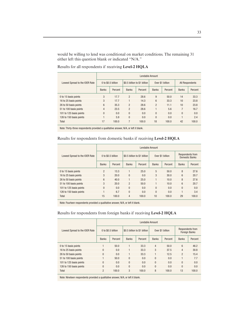would be willing to lend was conditional on market conditions. The remaining 31 either left this question blank or indicated "N/A."

Results for all respondents if receiving **Level-2 HQLA**

|                                | Lendable Amount    |         |                              |         |                 |                  |                        |         |  |  |  |
|--------------------------------|--------------------|---------|------------------------------|---------|-----------------|------------------|------------------------|---------|--|--|--|
| Lowest Spread to the IOER Rate | 0 to \$0.5 billion |         | \$0.5 billion to \$1 billion |         |                 | Over \$1 billion | <b>All Respondents</b> |         |  |  |  |
|                                | <b>Banks</b>       | Percent | <b>Banks</b>                 | Percent | <b>Banks</b>    | Percent          | <b>Banks</b>           | Percent |  |  |  |
| 0 to 15 basis points           | 3                  | 17.7    | $\overline{2}$               | 28.6    | 9               | 50.0             | 14                     | 33.3    |  |  |  |
| 16 to 25 basis points          | 3                  | 17.7    |                              | 14.3    | $6\overline{6}$ | 33.3             | 10                     | 23.8    |  |  |  |
| 26 to 50 basis points          | 6                  | 35.3    | $\overline{2}$               | 28.6    | $\overline{2}$  | 11.1             | 10                     | 23.8    |  |  |  |
| 51 to 100 basis points         | 4                  | 23.5    | $\overline{2}$               | 28.6    |                 | 5.6              | 7                      | 16.7    |  |  |  |
| 101 to 125 basis points        | $\mathbf{0}$       | 0.0     | $\Omega$                     | 0.0     | $\Omega$        | 0.0              | $\Omega$               | 0.0     |  |  |  |
| 126 to 150 basis points        |                    | 5.9     | $\Omega$                     | 0.0     | $\theta$        | 0.0              |                        | 2.4     |  |  |  |
| Total                          | 17                 | 100.0   | 7                            | 100.0   | 18              | 100.0            | 42                     | 100.0   |  |  |  |

Note: Thirty-three respondents provided a qualitative answer, N/A, or left it blank.

#### Results for respondents from domestic banks if receiving **Level-2 HQLA**

| Lowest Spread to the IOER Rate | Lendable Amount    |         |                |                              |              |                  |                                    |         |  |  |  |
|--------------------------------|--------------------|---------|----------------|------------------------------|--------------|------------------|------------------------------------|---------|--|--|--|
|                                | 0 to \$0.5 billion |         |                | \$0.5 billion to \$1 billion |              | Over \$1 billion | Respondents from<br>Domestic Banks |         |  |  |  |
|                                | <b>Banks</b>       | Percent | <b>Banks</b>   | Percent                      | <b>Banks</b> | Percent          | <b>Banks</b>                       | Percent |  |  |  |
| 0 to 15 basis points           | $\overline{2}$     | 13.3    |                | 25.0                         | 5            | 50.0             | 8                                  | 27.6    |  |  |  |
| 16 to 25 basis points          | 3                  | 20.0    | $\Omega$       | 0.0                          | 3            | 30.0             | 6                                  | 20.7    |  |  |  |
| 26 to 50 basis points          | 6                  | 40.0    | 1              | 25.0                         | 1            | 10.0             | 8                                  | 27.6    |  |  |  |
| 51 to 100 basis points         | 3                  | 20.0    | $\overline{2}$ | 50.0                         | 1            | 10.0             | 6                                  | 20.7    |  |  |  |
| 101 to 125 basis points        | $\Omega$           | 0.0     | $\Omega$       | 0.0                          | $\Omega$     | 0.0              | $\theta$                           | 0.0     |  |  |  |
| 126 to 150 basis points        |                    | 6.7     | $\theta$       | 0.0                          | $\Omega$     | 0.0              |                                    | 3.4     |  |  |  |
| Total                          | 15                 | 100.0   | 4              | 100.0                        | 10           | 100.0            | 29                                 | 100.0   |  |  |  |

Note: Fourteen respondents provided a qualitative answer, N/A, or left it blank.

#### Results for respondents from foreign banks if receiving **Level-2 HQLA**

| Lowest Spread to the IOER Rate | Lendable Amount    |         |                              |         |                |                  |                                          |         |  |  |
|--------------------------------|--------------------|---------|------------------------------|---------|----------------|------------------|------------------------------------------|---------|--|--|
|                                | 0 to \$0.5 billion |         | \$0.5 billion to \$1 billion |         |                | Over \$1 billion | Respondents from<br><b>Foreign Banks</b> |         |  |  |
|                                | <b>Banks</b>       | Percent | <b>Banks</b>                 | Percent | <b>Banks</b>   | Percent          | <b>Banks</b>                             | Percent |  |  |
| 0 to 15 basis points           |                    | 50.0    |                              | 33.3    | $\overline{4}$ | 50.0             | 6                                        | 46.2    |  |  |
| 16 to 25 basis points          | $\Omega$           | 0.0     | 1                            | 33.3    | 3              | 37.5             | 4                                        | 30.8    |  |  |
| 26 to 50 basis points          | $\Omega$           | 0.0     | $\overline{1}$               | 33.3    |                | 12.5             | $\overline{2}$                           | 15.4    |  |  |
| 51 to 100 basis points         | н                  | 50.0    | $\Omega$                     | 0.0     | $\theta$       | 0.0              | 1                                        | 7.7     |  |  |
| 101 to 125 basis points        | $\Omega$           | 0.0     | $\Omega$                     | 0.0     | $\Omega$       | 0.0              | $\Omega$                                 | 0.0     |  |  |
| 126 to 150 basis points        | $\Omega$           | 0.0     | $\Omega$                     | 0.0     | $\theta$       | 0.0              | $\overline{0}$                           | 0.0     |  |  |
| Total                          | $\overline{2}$     | 100.0   | 3                            | 100.0   | 8              | 100.0            | 13                                       | 100.0   |  |  |

Note: Nineteen respondents provided a qualitative answer, N/A, or left it blank.